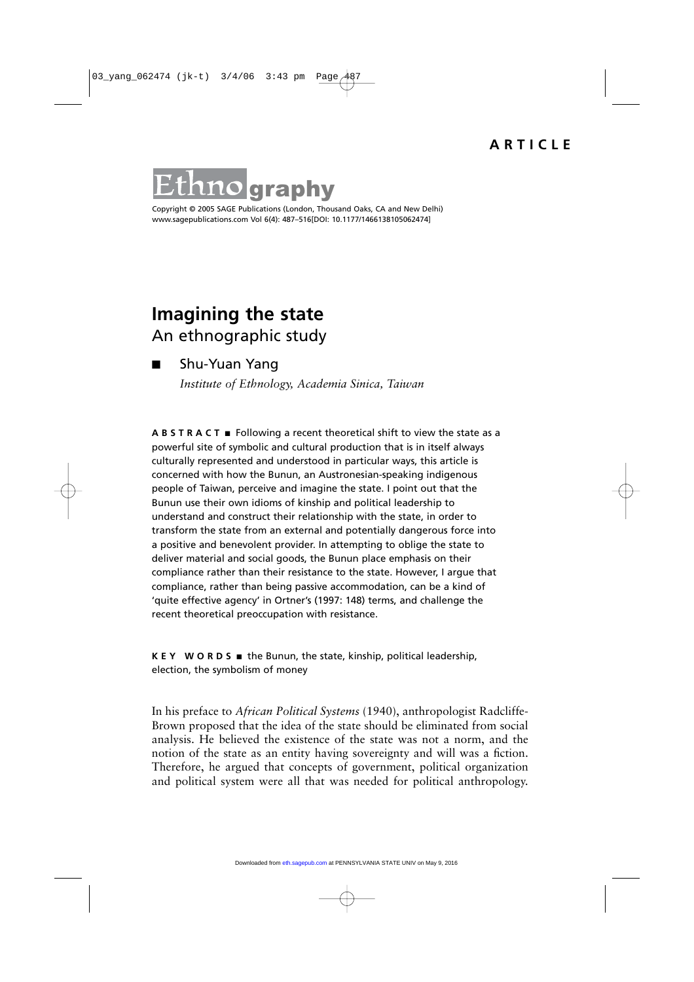

Copyright © 2005 SAGE Publications (London, Thousand Oaks, CA and New Delhi) www.sagepublications.com Vol 6(4): 487–516[DOI: 10.1177/1466138105062474]

# **Imagining the state** An ethnographic study

# ■ Shu-Yuan Yang

*Institute of Ethnology, Academia Sinica, Taiwan*

**ABSTRACT** ■ Following a recent theoretical shift to view the state as a powerful site of symbolic and cultural production that is in itself always culturally represented and understood in particular ways, this article is concerned with how the Bunun, an Austronesian-speaking indigenous people of Taiwan, perceive and imagine the state. I point out that the Bunun use their own idioms of kinship and political leadership to understand and construct their relationship with the state, in order to transform the state from an external and potentially dangerous force into a positive and benevolent provider. In attempting to oblige the state to deliver material and social goods, the Bunun place emphasis on their compliance rather than their resistance to the state. However, I argue that compliance, rather than being passive accommodation, can be a kind of 'quite effective agency' in Ortner's (1997: 148) terms, and challenge the recent theoretical preoccupation with resistance.

**KEY WORDS** ■ the Bunun, the state, kinship, political leadership, election, the symbolism of money

In his preface to *African Political Systems* (1940), anthropologist Radcliffe-Brown proposed that the idea of the state should be eliminated from social analysis. He believed the existence of the state was not a norm, and the notion of the state as an entity having sovereignty and will was a fiction. Therefore, he argued that concepts of government, political organization and political system were all that was needed for political anthropology.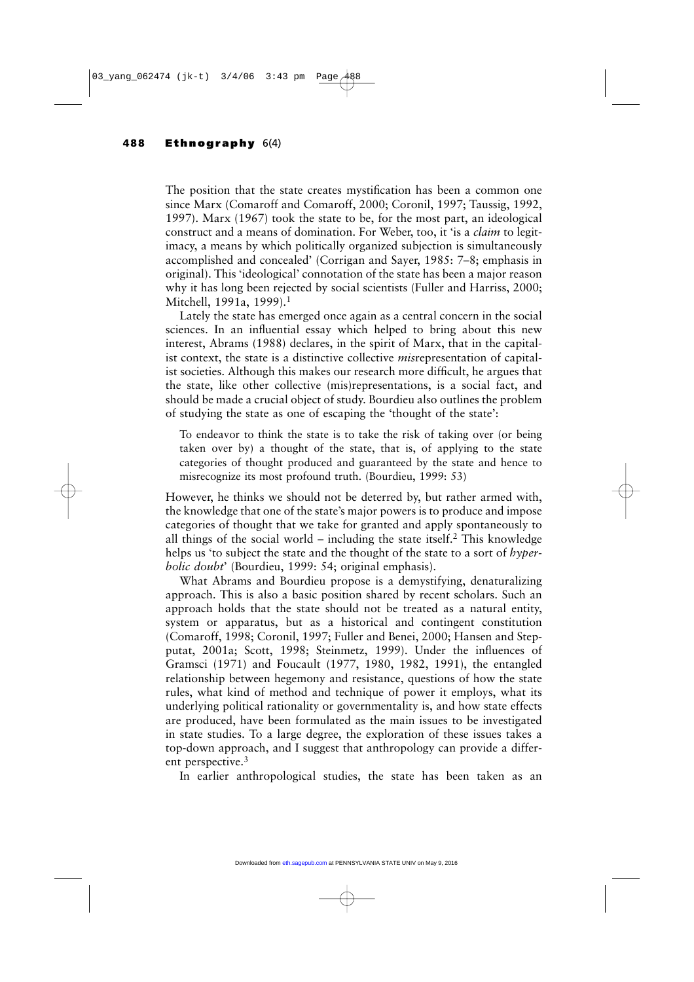The position that the state creates mystification has been a common one since Marx (Comaroff and Comaroff, 2000; Coronil, 1997; Taussig, 1992, 1997). Marx (1967) took the state to be, for the most part, an ideological construct and a means of domination. For Weber, too, it 'is a *claim* to legitimacy, a means by which politically organized subjection is simultaneously accomplished and concealed' (Corrigan and Sayer, 1985: 7–8; emphasis in original). This 'ideological' connotation of the state has been a major reason why it has long been rejected by social scientists (Fuller and Harriss, 2000; Mitchell, 1991a, 1999).1

Lately the state has emerged once again as a central concern in the social sciences. In an influential essay which helped to bring about this new interest, Abrams (1988) declares, in the spirit of Marx, that in the capitalist context, the state is a distinctive collective *mis*representation of capitalist societies. Although this makes our research more difficult, he argues that the state, like other collective (mis)representations, is a social fact, and should be made a crucial object of study. Bourdieu also outlines the problem of studying the state as one of escaping the 'thought of the state':

To endeavor to think the state is to take the risk of taking over (or being taken over by) a thought of the state, that is, of applying to the state categories of thought produced and guaranteed by the state and hence to misrecognize its most profound truth. (Bourdieu, 1999: 53)

However, he thinks we should not be deterred by, but rather armed with, the knowledge that one of the state's major powers is to produce and impose categories of thought that we take for granted and apply spontaneously to all things of the social world – including the state itself.<sup>2</sup> This knowledge helps us 'to subject the state and the thought of the state to a sort of *hyperbolic doubt*' (Bourdieu, 1999: 54; original emphasis).

What Abrams and Bourdieu propose is a demystifying, denaturalizing approach. This is also a basic position shared by recent scholars. Such an approach holds that the state should not be treated as a natural entity, system or apparatus, but as a historical and contingent constitution (Comaroff, 1998; Coronil, 1997; Fuller and Benei, 2000; Hansen and Stepputat, 2001a; Scott, 1998; Steinmetz, 1999). Under the influences of Gramsci (1971) and Foucault (1977, 1980, 1982, 1991), the entangled relationship between hegemony and resistance, questions of how the state rules, what kind of method and technique of power it employs, what its underlying political rationality or governmentality is, and how state effects are produced, have been formulated as the main issues to be investigated in state studies. To a large degree, the exploration of these issues takes a top-down approach, and I suggest that anthropology can provide a different perspective.<sup>3</sup>

In earlier anthropological studies, the state has been taken as an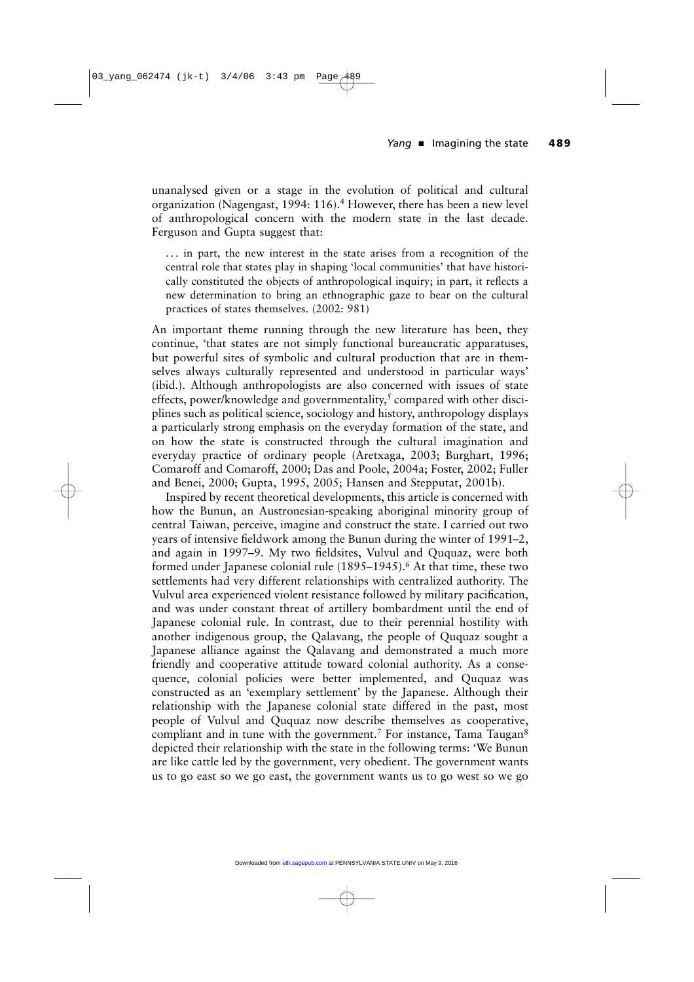unanalysed given or a stage in the evolution of political and cultural organization (Nagengast, 1994: 116).4 However, there has been a new level of anthropological concern with the modern state in the last decade. Ferguson and Gupta suggest that:

... in part, the new interest in the state arises from a recognition of the central role that states play in shaping 'local communities' that have historically constituted the objects of anthropological inquiry; in part, it reflects a new determination to bring an ethnographic gaze to bear on the cultural practices of states themselves. (2002: 981)

An important theme running through the new literature has been, they continue, 'that states are not simply functional bureaucratic apparatuses, but powerful sites of symbolic and cultural production that are in themselves always culturally represented and understood in particular ways' (ibid.). Although anthropologists are also concerned with issues of state effects, power/knowledge and governmentality,<sup>5</sup> compared with other disciplines such as political science, sociology and history, anthropology displays a particularly strong emphasis on the everyday formation of the state, and on how the state is constructed through the cultural imagination and everyday practice of ordinary people (Aretxaga, 2003; Burghart, 1996; Comaroff and Comaroff, 2000; Das and Poole, 2004a; Foster, 2002; Fuller and Benei, 2000; Gupta, 1995, 2005; Hansen and Stepputat, 2001b).

Inspired by recent theoretical developments, this article is concerned with how the Bunun, an Austronesian-speaking aboriginal minority group of central Taiwan, perceive, imagine and construct the state. I carried out two years of intensive fieldwork among the Bunun during the winter of 1991–2, and again in 1997–9. My two fieldsites, Vulvul and Ququaz, were both formed under Japanese colonial rule (1895–1945).<sup>6</sup> At that time, these two settlements had very different relationships with centralized authority. The Vulvul area experienced violent resistance followed by military pacification, and was under constant threat of artillery bombardment until the end of Japanese colonial rule. In contrast, due to their perennial hostility with another indigenous group, the Qalavang, the people of Ququaz sought a Japanese alliance against the Qalavang and demonstrated a much more friendly and cooperative attitude toward colonial authority. As a consequence, colonial policies were better implemented, and Ququaz was constructed as an 'exemplary settlement' by the Japanese. Although their relationship with the Japanese colonial state differed in the past, most people of Vulvul and Ququaz now describe themselves as cooperative, compliant and in tune with the government.<sup>7</sup> For instance, Tama Taugan<sup>8</sup> depicted their relationship with the state in the following terms: 'We Bunun are like cattle led by the government, very obedient. The government wants us to go east so we go east, the government wants us to go west so we go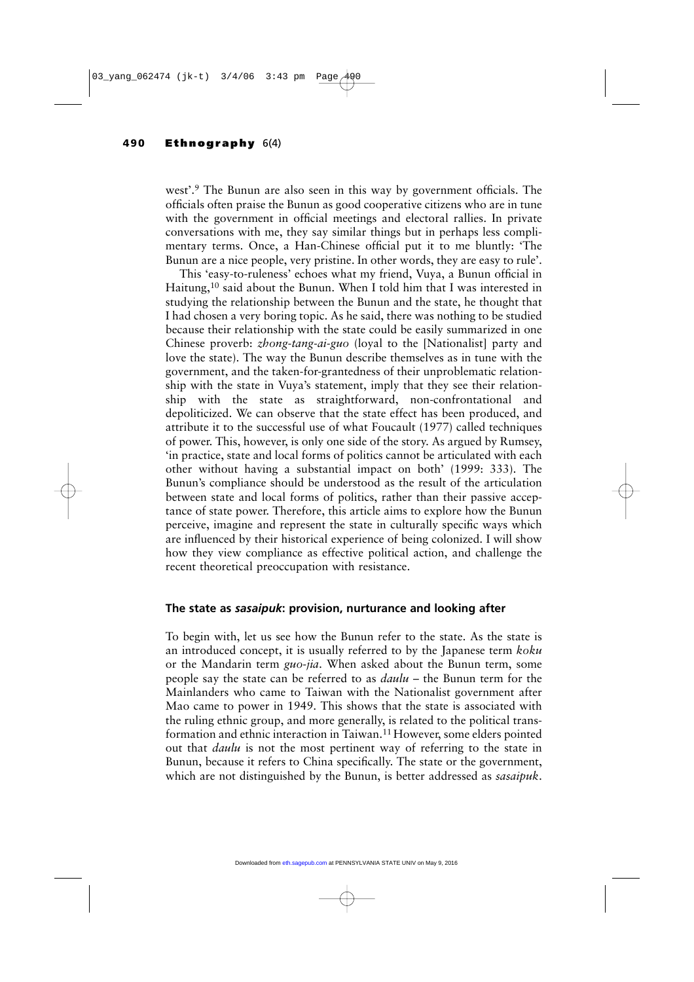west'.9 The Bunun are also seen in this way by government officials. The officials often praise the Bunun as good cooperative citizens who are in tune with the government in official meetings and electoral rallies. In private conversations with me, they say similar things but in perhaps less complimentary terms. Once, a Han-Chinese official put it to me bluntly: 'The Bunun are a nice people, very pristine. In other words, they are easy to rule'.

This 'easy-to-ruleness' echoes what my friend, Vuya, a Bunun official in Haitung,<sup>10</sup> said about the Bunun. When I told him that I was interested in studying the relationship between the Bunun and the state, he thought that I had chosen a very boring topic. As he said, there was nothing to be studied because their relationship with the state could be easily summarized in one Chinese proverb: *zhong-tang-ai-guo* (loyal to the [Nationalist] party and love the state). The way the Bunun describe themselves as in tune with the government, and the taken-for-grantedness of their unproblematic relationship with the state in Vuya's statement, imply that they see their relationship with the state as straightforward, non-confrontational and depoliticized. We can observe that the state effect has been produced, and attribute it to the successful use of what Foucault (1977) called techniques of power. This, however, is only one side of the story. As argued by Rumsey, 'in practice, state and local forms of politics cannot be articulated with each other without having a substantial impact on both' (1999: 333). The Bunun's compliance should be understood as the result of the articulation between state and local forms of politics, rather than their passive acceptance of state power. Therefore, this article aims to explore how the Bunun perceive, imagine and represent the state in culturally specific ways which are influenced by their historical experience of being colonized. I will show how they view compliance as effective political action, and challenge the recent theoretical preoccupation with resistance.

#### **The state as** *sasaipuk***: provision, nurturance and looking after**

To begin with, let us see how the Bunun refer to the state. As the state is an introduced concept, it is usually referred to by the Japanese term *koku* or the Mandarin term *guo-jia*. When asked about the Bunun term, some people say the state can be referred to as *daulu* – the Bunun term for the Mainlanders who came to Taiwan with the Nationalist government after Mao came to power in 1949. This shows that the state is associated with the ruling ethnic group, and more generally, is related to the political transformation and ethnic interaction in Taiwan.<sup>11</sup> However, some elders pointed out that *daulu* is not the most pertinent way of referring to the state in Bunun, because it refers to China specifically. The state or the government, which are not distinguished by the Bunun, is better addressed as *sasaipuk*.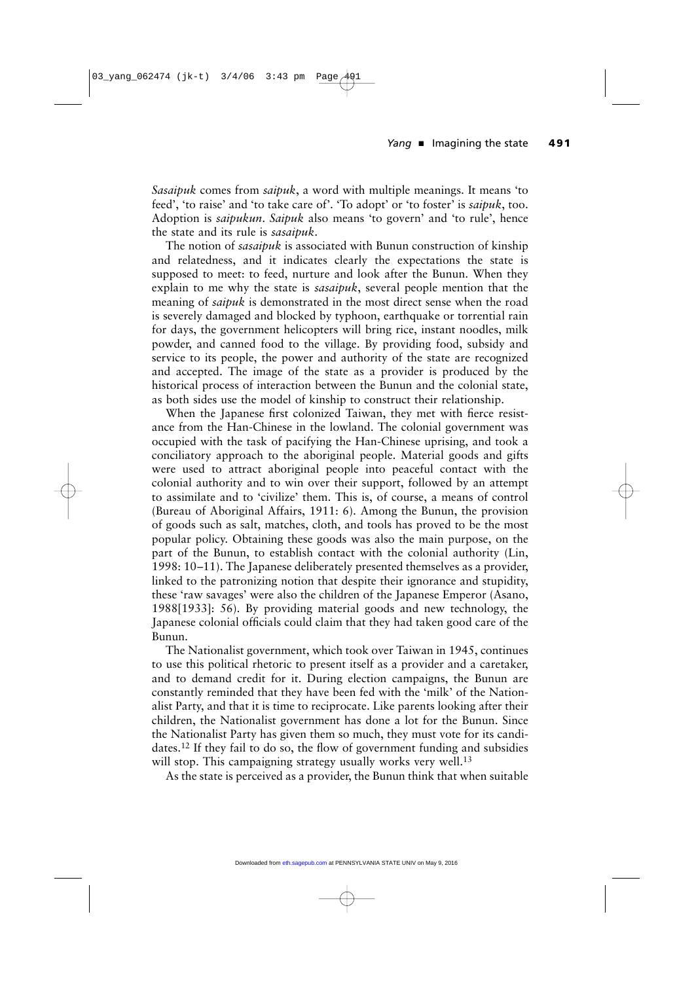*Sasaipuk* comes from *saipuk*, a word with multiple meanings. It means 'to feed', 'to raise' and 'to take care of'. 'To adopt' or 'to foster' is *saipuk*, too. Adoption is *saipukun*. *Saipuk* also means 'to govern' and 'to rule', hence the state and its rule is *sasaipuk*.

The notion of *sasaipuk* is associated with Bunun construction of kinship and relatedness, and it indicates clearly the expectations the state is supposed to meet: to feed, nurture and look after the Bunun. When they explain to me why the state is *sasaipuk*, several people mention that the meaning of *saipuk* is demonstrated in the most direct sense when the road is severely damaged and blocked by typhoon, earthquake or torrential rain for days, the government helicopters will bring rice, instant noodles, milk powder, and canned food to the village. By providing food, subsidy and service to its people, the power and authority of the state are recognized and accepted. The image of the state as a provider is produced by the historical process of interaction between the Bunun and the colonial state, as both sides use the model of kinship to construct their relationship.

When the Japanese first colonized Taiwan, they met with fierce resistance from the Han-Chinese in the lowland. The colonial government was occupied with the task of pacifying the Han-Chinese uprising, and took a conciliatory approach to the aboriginal people. Material goods and gifts were used to attract aboriginal people into peaceful contact with the colonial authority and to win over their support, followed by an attempt to assimilate and to 'civilize' them. This is, of course, a means of control (Bureau of Aboriginal Affairs, 1911: 6). Among the Bunun, the provision of goods such as salt, matches, cloth, and tools has proved to be the most popular policy. Obtaining these goods was also the main purpose, on the part of the Bunun, to establish contact with the colonial authority (Lin, 1998: 10–11). The Japanese deliberately presented themselves as a provider, linked to the patronizing notion that despite their ignorance and stupidity, these 'raw savages' were also the children of the Japanese Emperor (Asano, 1988[1933]: 56). By providing material goods and new technology, the Japanese colonial officials could claim that they had taken good care of the Bunun.

The Nationalist government, which took over Taiwan in 1945, continues to use this political rhetoric to present itself as a provider and a caretaker, and to demand credit for it. During election campaigns, the Bunun are constantly reminded that they have been fed with the 'milk' of the Nationalist Party, and that it is time to reciprocate. Like parents looking after their children, the Nationalist government has done a lot for the Bunun. Since the Nationalist Party has given them so much, they must vote for its candidates.12 If they fail to do so, the flow of government funding and subsidies will stop. This campaigning strategy usually works very well.<sup>13</sup>

As the state is perceived as a provider, the Bunun think that when suitable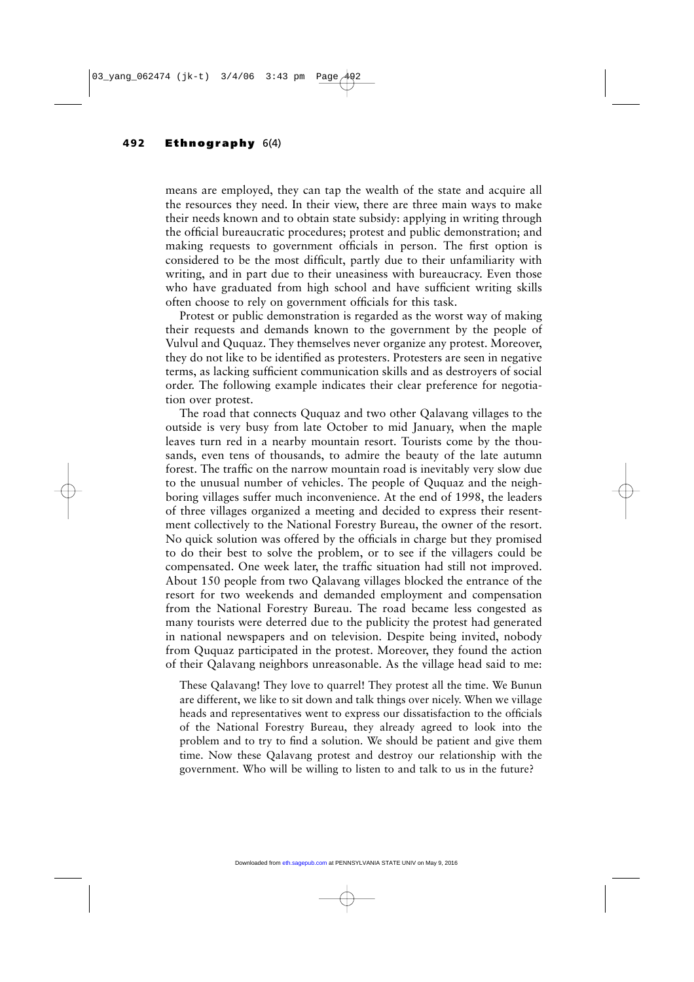means are employed, they can tap the wealth of the state and acquire all the resources they need. In their view, there are three main ways to make their needs known and to obtain state subsidy: applying in writing through the official bureaucratic procedures; protest and public demonstration; and making requests to government officials in person. The first option is considered to be the most difficult, partly due to their unfamiliarity with writing, and in part due to their uneasiness with bureaucracy. Even those who have graduated from high school and have sufficient writing skills often choose to rely on government officials for this task.

Protest or public demonstration is regarded as the worst way of making their requests and demands known to the government by the people of Vulvul and Ququaz. They themselves never organize any protest. Moreover, they do not like to be identified as protesters. Protesters are seen in negative terms, as lacking sufficient communication skills and as destroyers of social order. The following example indicates their clear preference for negotiation over protest.

The road that connects Ququaz and two other Qalavang villages to the outside is very busy from late October to mid January, when the maple leaves turn red in a nearby mountain resort. Tourists come by the thousands, even tens of thousands, to admire the beauty of the late autumn forest. The traffic on the narrow mountain road is inevitably very slow due to the unusual number of vehicles. The people of Ququaz and the neighboring villages suffer much inconvenience. At the end of 1998, the leaders of three villages organized a meeting and decided to express their resentment collectively to the National Forestry Bureau, the owner of the resort. No quick solution was offered by the officials in charge but they promised to do their best to solve the problem, or to see if the villagers could be compensated. One week later, the traffic situation had still not improved. About 150 people from two Qalavang villages blocked the entrance of the resort for two weekends and demanded employment and compensation from the National Forestry Bureau. The road became less congested as many tourists were deterred due to the publicity the protest had generated in national newspapers and on television. Despite being invited, nobody from Ququaz participated in the protest. Moreover, they found the action of their Qalavang neighbors unreasonable. As the village head said to me:

These Qalavang! They love to quarrel! They protest all the time. We Bunun are different, we like to sit down and talk things over nicely. When we village heads and representatives went to express our dissatisfaction to the officials of the National Forestry Bureau, they already agreed to look into the problem and to try to find a solution. We should be patient and give them time. Now these Qalavang protest and destroy our relationship with the government. Who will be willing to listen to and talk to us in the future?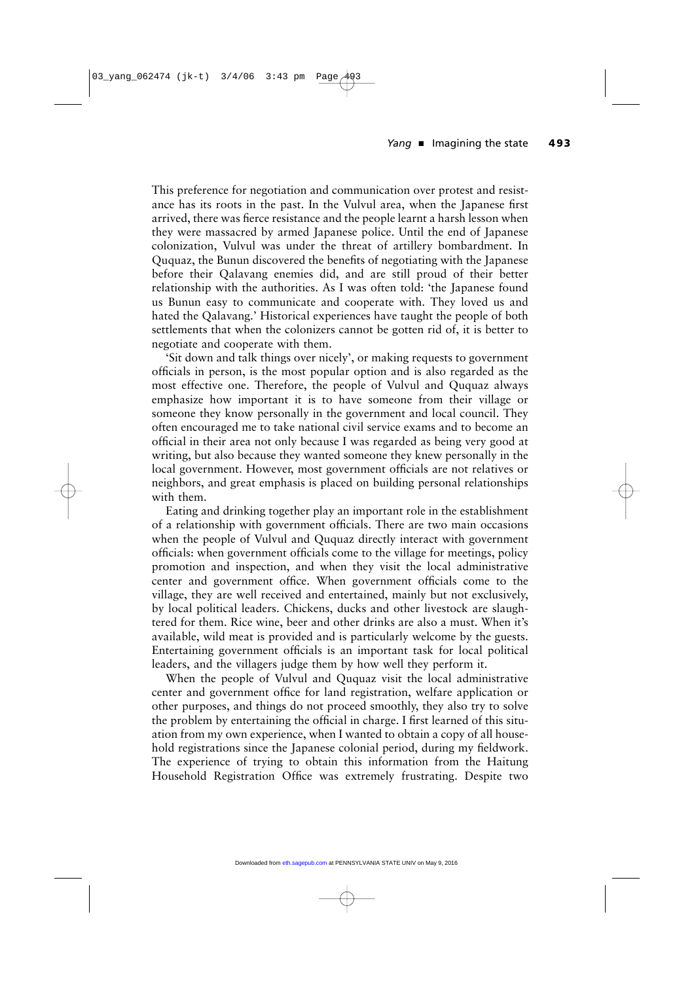This preference for negotiation and communication over protest and resistance has its roots in the past. In the Vulvul area, when the Japanese first arrived, there was fierce resistance and the people learnt a harsh lesson when they were massacred by armed Japanese police. Until the end of Japanese colonization, Vulvul was under the threat of artillery bombardment. In Ququaz, the Bunun discovered the benefits of negotiating with the Japanese before their Qalavang enemies did, and are still proud of their better relationship with the authorities. As I was often told: 'the Japanese found us Bunun easy to communicate and cooperate with. They loved us and hated the Qalavang.' Historical experiences have taught the people of both settlements that when the colonizers cannot be gotten rid of, it is better to negotiate and cooperate with them.

'Sit down and talk things over nicely', or making requests to government officials in person, is the most popular option and is also regarded as the most effective one. Therefore, the people of Vulvul and Ququaz always emphasize how important it is to have someone from their village or someone they know personally in the government and local council. They often encouraged me to take national civil service exams and to become an official in their area not only because I was regarded as being very good at writing, but also because they wanted someone they knew personally in the local government. However, most government officials are not relatives or neighbors, and great emphasis is placed on building personal relationships with them.

Eating and drinking together play an important role in the establishment of a relationship with government officials. There are two main occasions when the people of Vulvul and Ququaz directly interact with government officials: when government officials come to the village for meetings, policy promotion and inspection, and when they visit the local administrative center and government office. When government officials come to the village, they are well received and entertained, mainly but not exclusively, by local political leaders. Chickens, ducks and other livestock are slaughtered for them. Rice wine, beer and other drinks are also a must. When it's available, wild meat is provided and is particularly welcome by the guests. Entertaining government officials is an important task for local political leaders, and the villagers judge them by how well they perform it.

When the people of Vulvul and Ququaz visit the local administrative center and government office for land registration, welfare application or other purposes, and things do not proceed smoothly, they also try to solve the problem by entertaining the official in charge. I first learned of this situation from my own experience, when I wanted to obtain a copy of all household registrations since the Japanese colonial period, during my fieldwork. The experience of trying to obtain this information from the Haitung Household Registration Office was extremely frustrating. Despite two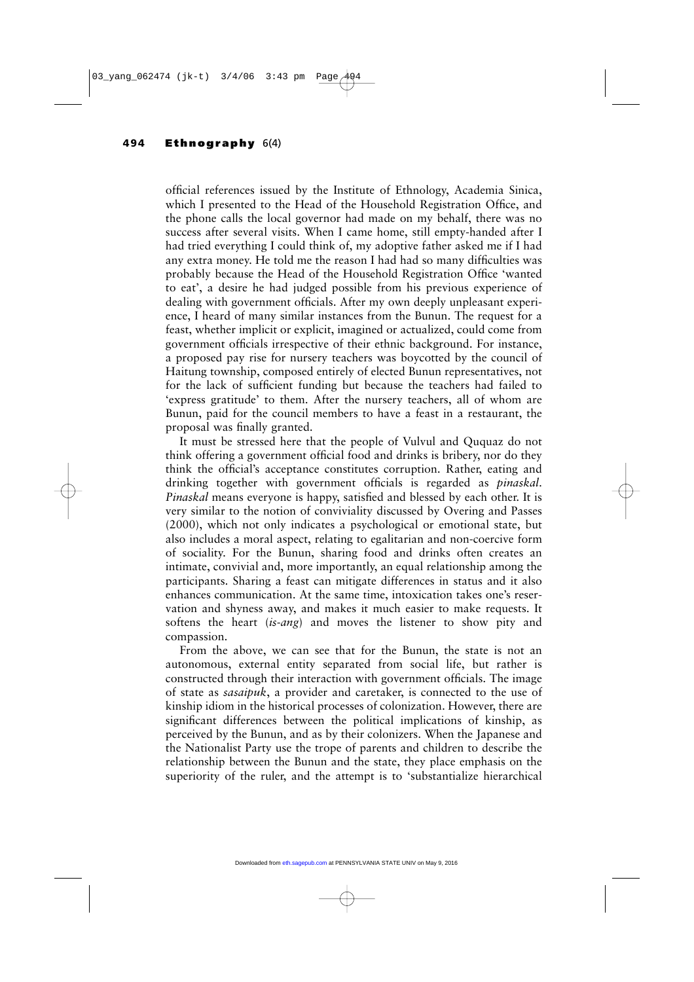official references issued by the Institute of Ethnology, Academia Sinica, which I presented to the Head of the Household Registration Office, and the phone calls the local governor had made on my behalf, there was no success after several visits. When I came home, still empty-handed after I had tried everything I could think of, my adoptive father asked me if I had any extra money. He told me the reason I had had so many difficulties was probably because the Head of the Household Registration Office 'wanted to eat', a desire he had judged possible from his previous experience of dealing with government officials. After my own deeply unpleasant experience, I heard of many similar instances from the Bunun. The request for a feast, whether implicit or explicit, imagined or actualized, could come from government officials irrespective of their ethnic background. For instance, a proposed pay rise for nursery teachers was boycotted by the council of Haitung township, composed entirely of elected Bunun representatives, not for the lack of sufficient funding but because the teachers had failed to 'express gratitude' to them. After the nursery teachers, all of whom are Bunun, paid for the council members to have a feast in a restaurant, the proposal was finally granted.

It must be stressed here that the people of Vulvul and Ququaz do not think offering a government official food and drinks is bribery, nor do they think the official's acceptance constitutes corruption. Rather, eating and drinking together with government officials is regarded as *pinaskal*. *Pinaskal* means everyone is happy, satisfied and blessed by each other. It is very similar to the notion of conviviality discussed by Overing and Passes (2000), which not only indicates a psychological or emotional state, but also includes a moral aspect, relating to egalitarian and non-coercive form of sociality. For the Bunun, sharing food and drinks often creates an intimate, convivial and, more importantly, an equal relationship among the participants. Sharing a feast can mitigate differences in status and it also enhances communication. At the same time, intoxication takes one's reservation and shyness away, and makes it much easier to make requests. It softens the heart (*is-ang*) and moves the listener to show pity and compassion.

From the above, we can see that for the Bunun, the state is not an autonomous, external entity separated from social life, but rather is constructed through their interaction with government officials. The image of state as *sasaipuk*, a provider and caretaker, is connected to the use of kinship idiom in the historical processes of colonization. However, there are significant differences between the political implications of kinship, as perceived by the Bunun, and as by their colonizers. When the Japanese and the Nationalist Party use the trope of parents and children to describe the relationship between the Bunun and the state, they place emphasis on the superiority of the ruler, and the attempt is to 'substantialize hierarchical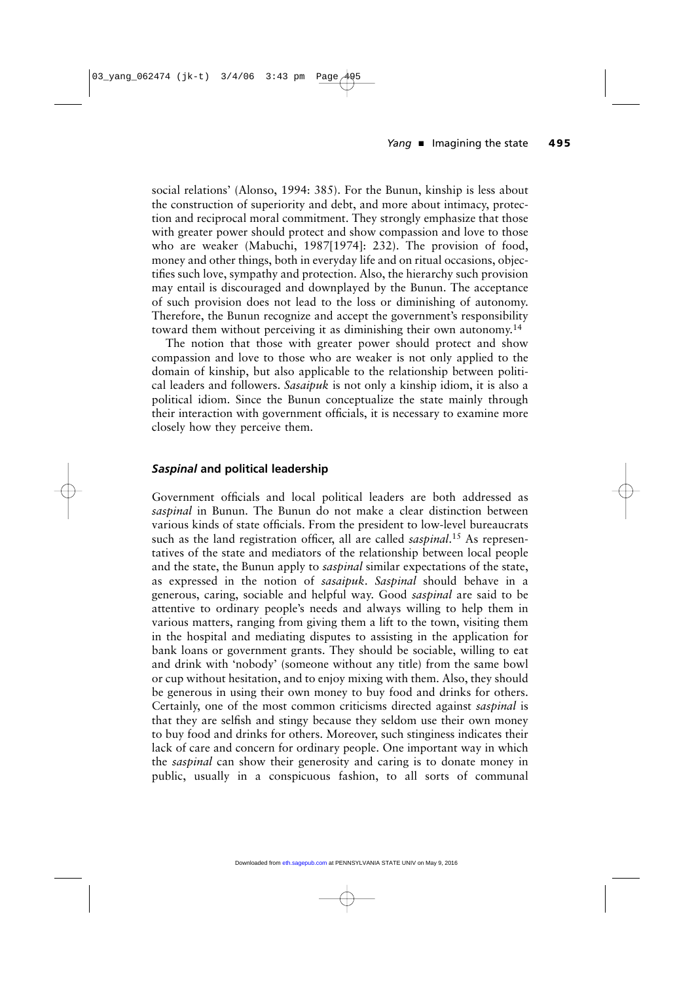social relations' (Alonso, 1994: 385). For the Bunun, kinship is less about the construction of superiority and debt, and more about intimacy, protection and reciprocal moral commitment. They strongly emphasize that those with greater power should protect and show compassion and love to those who are weaker (Mabuchi, 1987[1974]: 232). The provision of food, money and other things, both in everyday life and on ritual occasions, objectifies such love, sympathy and protection. Also, the hierarchy such provision may entail is discouraged and downplayed by the Bunun. The acceptance of such provision does not lead to the loss or diminishing of autonomy. Therefore, the Bunun recognize and accept the government's responsibility toward them without perceiving it as diminishing their own autonomy.14

The notion that those with greater power should protect and show compassion and love to those who are weaker is not only applied to the domain of kinship, but also applicable to the relationship between political leaders and followers. *Sasaipuk* is not only a kinship idiom, it is also a political idiom. Since the Bunun conceptualize the state mainly through their interaction with government officials, it is necessary to examine more closely how they perceive them.

#### *Saspinal* **and political leadership**

Government officials and local political leaders are both addressed as *saspinal* in Bunun. The Bunun do not make a clear distinction between various kinds of state officials. From the president to low-level bureaucrats such as the land registration officer, all are called *saspinal*. <sup>15</sup> As representatives of the state and mediators of the relationship between local people and the state, the Bunun apply to *saspinal* similar expectations of the state, as expressed in the notion of *sasaipuk*. *Saspinal* should behave in a generous, caring, sociable and helpful way. Good *saspinal* are said to be attentive to ordinary people's needs and always willing to help them in various matters, ranging from giving them a lift to the town, visiting them in the hospital and mediating disputes to assisting in the application for bank loans or government grants. They should be sociable, willing to eat and drink with 'nobody' (someone without any title) from the same bowl or cup without hesitation, and to enjoy mixing with them. Also, they should be generous in using their own money to buy food and drinks for others. Certainly, one of the most common criticisms directed against *saspinal* is that they are selfish and stingy because they seldom use their own money to buy food and drinks for others. Moreover, such stinginess indicates their lack of care and concern for ordinary people. One important way in which the *saspinal* can show their generosity and caring is to donate money in public, usually in a conspicuous fashion, to all sorts of communal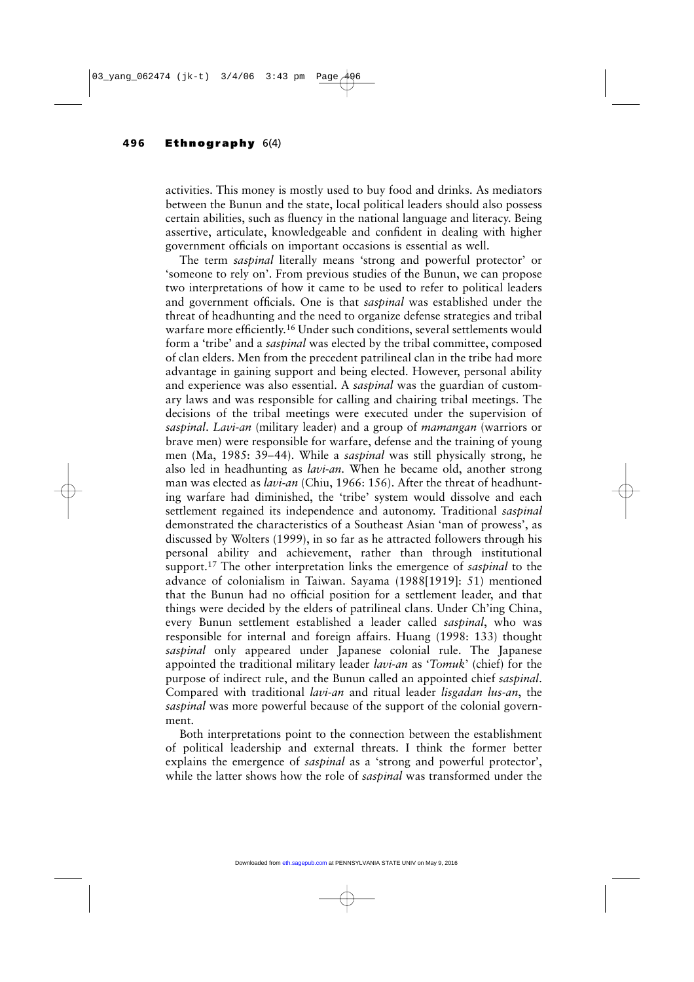activities. This money is mostly used to buy food and drinks. As mediators between the Bunun and the state, local political leaders should also possess certain abilities, such as fluency in the national language and literacy. Being assertive, articulate, knowledgeable and confident in dealing with higher government officials on important occasions is essential as well.

The term *saspinal* literally means 'strong and powerful protector' or 'someone to rely on'. From previous studies of the Bunun, we can propose two interpretations of how it came to be used to refer to political leaders and government officials. One is that *saspinal* was established under the threat of headhunting and the need to organize defense strategies and tribal warfare more efficiently.<sup>16</sup> Under such conditions, several settlements would form a 'tribe' and a *saspinal* was elected by the tribal committee, composed of clan elders. Men from the precedent patrilineal clan in the tribe had more advantage in gaining support and being elected. However, personal ability and experience was also essential. A *saspinal* was the guardian of customary laws and was responsible for calling and chairing tribal meetings. The decisions of the tribal meetings were executed under the supervision of *saspinal*. *Lavi-an* (military leader) and a group of *mamangan* (warriors or brave men) were responsible for warfare, defense and the training of young men (Ma, 1985: 39–44). While a *saspinal* was still physically strong, he also led in headhunting as *lavi-an.* When he became old, another strong man was elected as *lavi-an* (Chiu, 1966: 156). After the threat of headhunting warfare had diminished, the 'tribe' system would dissolve and each settlement regained its independence and autonomy. Traditional *saspinal* demonstrated the characteristics of a Southeast Asian 'man of prowess', as discussed by Wolters (1999), in so far as he attracted followers through his personal ability and achievement, rather than through institutional support.17 The other interpretation links the emergence of *saspinal* to the advance of colonialism in Taiwan. Sayama (1988[1919]: 51) mentioned that the Bunun had no official position for a settlement leader, and that things were decided by the elders of patrilineal clans. Under Ch'ing China, every Bunun settlement established a leader called *saspinal*, who was responsible for internal and foreign affairs. Huang (1998: 133) thought *saspinal* only appeared under Japanese colonial rule. The Japanese appointed the traditional military leader *lavi-an* as '*Tomuk*' (chief) for the purpose of indirect rule, and the Bunun called an appointed chief *saspinal*. Compared with traditional *lavi-an* and ritual leader *lisgadan lus-an*, the *saspinal* was more powerful because of the support of the colonial government.

Both interpretations point to the connection between the establishment of political leadership and external threats. I think the former better explains the emergence of *saspinal* as a 'strong and powerful protector', while the latter shows how the role of *saspinal* was transformed under the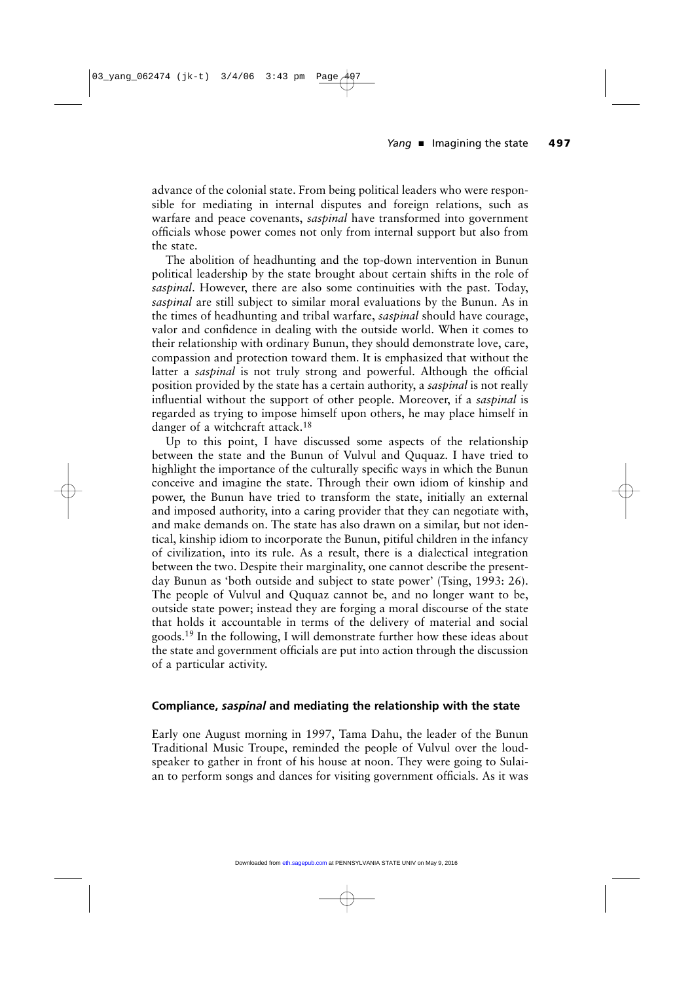advance of the colonial state. From being political leaders who were responsible for mediating in internal disputes and foreign relations, such as warfare and peace covenants, *saspinal* have transformed into government officials whose power comes not only from internal support but also from the state.

The abolition of headhunting and the top-down intervention in Bunun political leadership by the state brought about certain shifts in the role of *saspinal*. However, there are also some continuities with the past. Today, *saspinal* are still subject to similar moral evaluations by the Bunun. As in the times of headhunting and tribal warfare, *saspinal* should have courage, valor and confidence in dealing with the outside world. When it comes to their relationship with ordinary Bunun, they should demonstrate love, care, compassion and protection toward them. It is emphasized that without the latter a *saspinal* is not truly strong and powerful. Although the official position provided by the state has a certain authority, a *saspinal* is not really influential without the support of other people. Moreover, if a *saspinal* is regarded as trying to impose himself upon others, he may place himself in danger of a witchcraft attack.<sup>18</sup>

Up to this point, I have discussed some aspects of the relationship between the state and the Bunun of Vulvul and Ququaz. I have tried to highlight the importance of the culturally specific ways in which the Bunun conceive and imagine the state. Through their own idiom of kinship and power, the Bunun have tried to transform the state, initially an external and imposed authority, into a caring provider that they can negotiate with, and make demands on. The state has also drawn on a similar, but not identical, kinship idiom to incorporate the Bunun, pitiful children in the infancy of civilization, into its rule. As a result, there is a dialectical integration between the two. Despite their marginality, one cannot describe the presentday Bunun as 'both outside and subject to state power' (Tsing, 1993: 26). The people of Vulvul and Ququaz cannot be, and no longer want to be, outside state power; instead they are forging a moral discourse of the state that holds it accountable in terms of the delivery of material and social goods.19 In the following, I will demonstrate further how these ideas about the state and government officials are put into action through the discussion of a particular activity.

#### **Compliance,** *saspinal* **and mediating the relationship with the state**

Early one August morning in 1997, Tama Dahu, the leader of the Bunun Traditional Music Troupe, reminded the people of Vulvul over the loudspeaker to gather in front of his house at noon. They were going to Sulaian to perform songs and dances for visiting government officials. As it was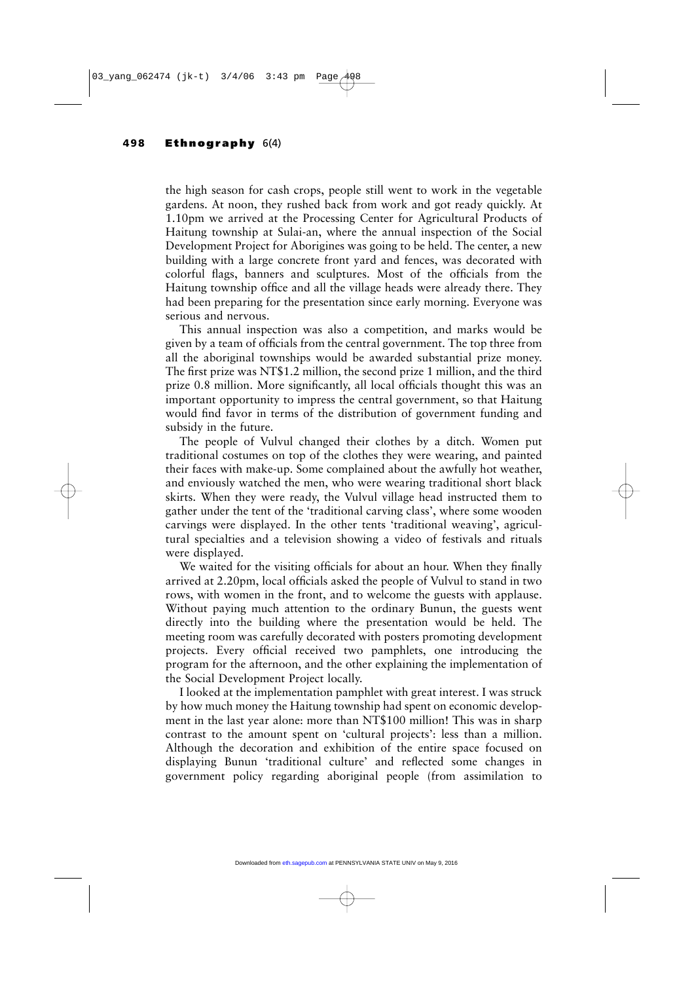the high season for cash crops, people still went to work in the vegetable gardens. At noon, they rushed back from work and got ready quickly. At 1.10pm we arrived at the Processing Center for Agricultural Products of Haitung township at Sulai-an, where the annual inspection of the Social Development Project for Aborigines was going to be held. The center, a new building with a large concrete front yard and fences, was decorated with colorful flags, banners and sculptures. Most of the officials from the Haitung township office and all the village heads were already there. They had been preparing for the presentation since early morning. Everyone was serious and nervous.

This annual inspection was also a competition, and marks would be given by a team of officials from the central government. The top three from all the aboriginal townships would be awarded substantial prize money. The first prize was NT\$1.2 million, the second prize 1 million, and the third prize 0.8 million. More significantly, all local officials thought this was an important opportunity to impress the central government, so that Haitung would find favor in terms of the distribution of government funding and subsidy in the future.

The people of Vulvul changed their clothes by a ditch. Women put traditional costumes on top of the clothes they were wearing, and painted their faces with make-up. Some complained about the awfully hot weather, and enviously watched the men, who were wearing traditional short black skirts. When they were ready, the Vulvul village head instructed them to gather under the tent of the 'traditional carving class', where some wooden carvings were displayed. In the other tents 'traditional weaving', agricultural specialties and a television showing a video of festivals and rituals were displayed.

We waited for the visiting officials for about an hour. When they finally arrived at 2.20pm, local officials asked the people of Vulvul to stand in two rows, with women in the front, and to welcome the guests with applause. Without paying much attention to the ordinary Bunun, the guests went directly into the building where the presentation would be held. The meeting room was carefully decorated with posters promoting development projects. Every official received two pamphlets, one introducing the program for the afternoon, and the other explaining the implementation of the Social Development Project locally.

I looked at the implementation pamphlet with great interest. I was struck by how much money the Haitung township had spent on economic development in the last year alone: more than NT\$100 million! This was in sharp contrast to the amount spent on 'cultural projects': less than a million. Although the decoration and exhibition of the entire space focused on displaying Bunun 'traditional culture' and reflected some changes in government policy regarding aboriginal people (from assimilation to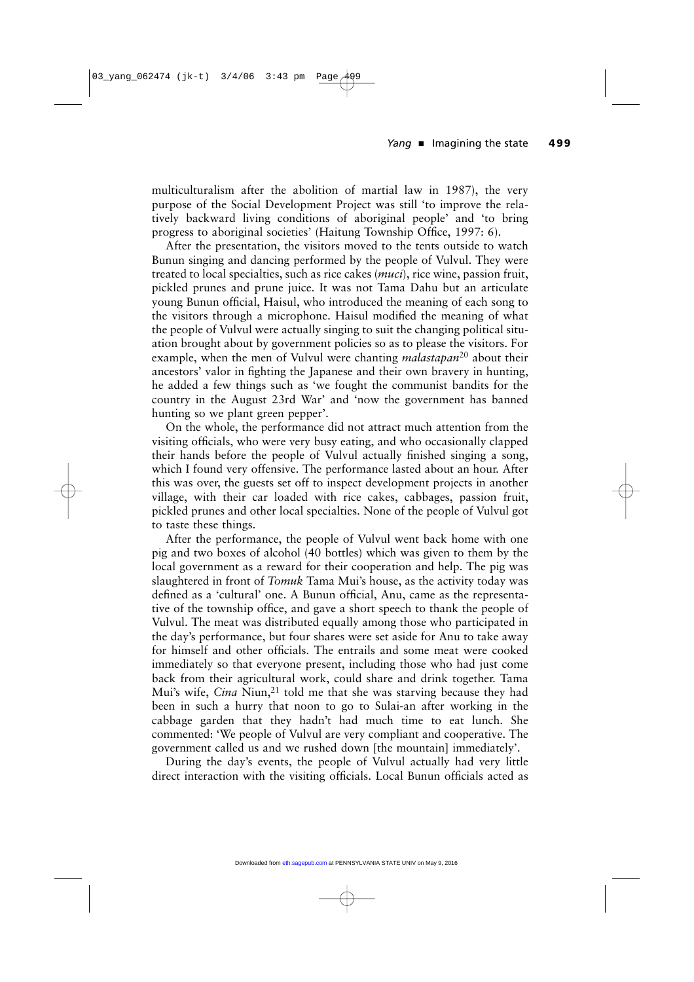multiculturalism after the abolition of martial law in 1987), the very purpose of the Social Development Project was still 'to improve the relatively backward living conditions of aboriginal people' and 'to bring progress to aboriginal societies' (Haitung Township Office, 1997: 6).

After the presentation, the visitors moved to the tents outside to watch Bunun singing and dancing performed by the people of Vulvul. They were treated to local specialties, such as rice cakes (*muci*), rice wine, passion fruit, pickled prunes and prune juice. It was not Tama Dahu but an articulate young Bunun official, Haisul, who introduced the meaning of each song to the visitors through a microphone. Haisul modified the meaning of what the people of Vulvul were actually singing to suit the changing political situation brought about by government policies so as to please the visitors. For example, when the men of Vulvul were chanting *malastapan*<sup>20</sup> about their ancestors' valor in fighting the Japanese and their own bravery in hunting, he added a few things such as 'we fought the communist bandits for the country in the August 23rd War' and 'now the government has banned hunting so we plant green pepper'.

On the whole, the performance did not attract much attention from the visiting officials, who were very busy eating, and who occasionally clapped their hands before the people of Vulvul actually finished singing a song, which I found very offensive. The performance lasted about an hour. After this was over, the guests set off to inspect development projects in another village, with their car loaded with rice cakes, cabbages, passion fruit, pickled prunes and other local specialties. None of the people of Vulvul got to taste these things.

After the performance, the people of Vulvul went back home with one pig and two boxes of alcohol (40 bottles) which was given to them by the local government as a reward for their cooperation and help. The pig was slaughtered in front of *Tomuk* Tama Mui's house, as the activity today was defined as a 'cultural' one. A Bunun official, Anu, came as the representative of the township office, and gave a short speech to thank the people of Vulvul. The meat was distributed equally among those who participated in the day's performance, but four shares were set aside for Anu to take away for himself and other officials. The entrails and some meat were cooked immediately so that everyone present, including those who had just come back from their agricultural work, could share and drink together. Tama Mui's wife, *Cina* Niun,<sup>21</sup> told me that she was starving because they had been in such a hurry that noon to go to Sulai-an after working in the cabbage garden that they hadn't had much time to eat lunch. She commented: 'We people of Vulvul are very compliant and cooperative. The government called us and we rushed down [the mountain] immediately'.

During the day's events, the people of Vulvul actually had very little direct interaction with the visiting officials. Local Bunun officials acted as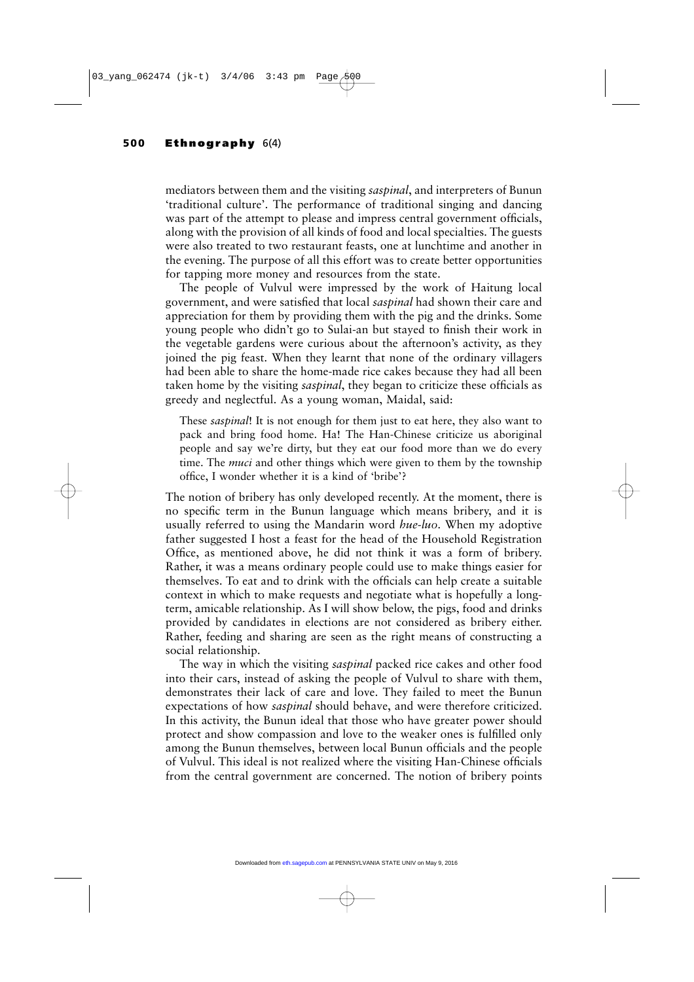mediators between them and the visiting *saspinal*, and interpreters of Bunun 'traditional culture'. The performance of traditional singing and dancing was part of the attempt to please and impress central government officials, along with the provision of all kinds of food and local specialties. The guests were also treated to two restaurant feasts, one at lunchtime and another in the evening. The purpose of all this effort was to create better opportunities for tapping more money and resources from the state.

The people of Vulvul were impressed by the work of Haitung local government, and were satisfied that local *saspinal* had shown their care and appreciation for them by providing them with the pig and the drinks. Some young people who didn't go to Sulai-an but stayed to finish their work in the vegetable gardens were curious about the afternoon's activity, as they joined the pig feast. When they learnt that none of the ordinary villagers had been able to share the home-made rice cakes because they had all been taken home by the visiting *saspinal*, they began to criticize these officials as greedy and neglectful. As a young woman, Maidal, said:

These *saspinal*! It is not enough for them just to eat here, they also want to pack and bring food home. Ha! The Han-Chinese criticize us aboriginal people and say we're dirty, but they eat our food more than we do every time. The *muci* and other things which were given to them by the township office, I wonder whether it is a kind of 'bribe'?

The notion of bribery has only developed recently. At the moment, there is no specific term in the Bunun language which means bribery, and it is usually referred to using the Mandarin word *hue-luo*. When my adoptive father suggested I host a feast for the head of the Household Registration Office, as mentioned above, he did not think it was a form of bribery. Rather, it was a means ordinary people could use to make things easier for themselves. To eat and to drink with the officials can help create a suitable context in which to make requests and negotiate what is hopefully a longterm, amicable relationship. As I will show below, the pigs, food and drinks provided by candidates in elections are not considered as bribery either. Rather, feeding and sharing are seen as the right means of constructing a social relationship.

The way in which the visiting *saspinal* packed rice cakes and other food into their cars, instead of asking the people of Vulvul to share with them, demonstrates their lack of care and love. They failed to meet the Bunun expectations of how *saspinal* should behave, and were therefore criticized. In this activity, the Bunun ideal that those who have greater power should protect and show compassion and love to the weaker ones is fulfilled only among the Bunun themselves, between local Bunun officials and the people of Vulvul. This ideal is not realized where the visiting Han-Chinese officials from the central government are concerned. The notion of bribery points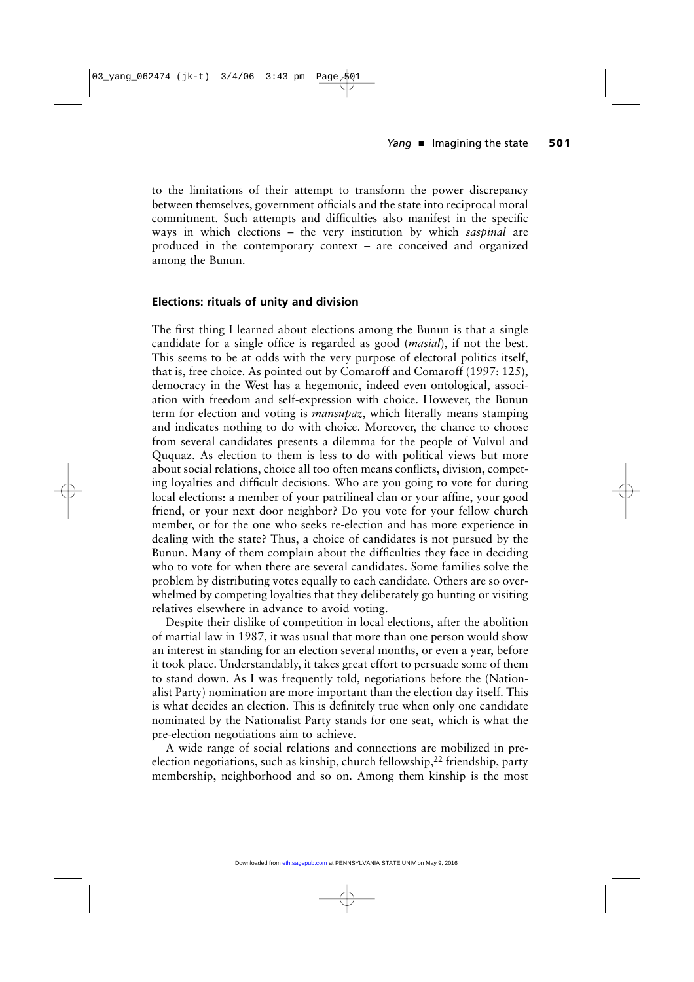to the limitations of their attempt to transform the power discrepancy between themselves, government officials and the state into reciprocal moral commitment. Such attempts and difficulties also manifest in the specific ways in which elections – the very institution by which *saspinal* are produced in the contemporary context – are conceived and organized among the Bunun.

### **Elections: rituals of unity and division**

The first thing I learned about elections among the Bunun is that a single candidate for a single office is regarded as good (*masial*), if not the best. This seems to be at odds with the very purpose of electoral politics itself, that is, free choice. As pointed out by Comaroff and Comaroff (1997: 125), democracy in the West has a hegemonic, indeed even ontological, association with freedom and self-expression with choice. However, the Bunun term for election and voting is *mansupaz*, which literally means stamping and indicates nothing to do with choice. Moreover, the chance to choose from several candidates presents a dilemma for the people of Vulvul and Ququaz. As election to them is less to do with political views but more about social relations, choice all too often means conflicts, division, competing loyalties and difficult decisions. Who are you going to vote for during local elections: a member of your patrilineal clan or your affine, your good friend, or your next door neighbor? Do you vote for your fellow church member, or for the one who seeks re-election and has more experience in dealing with the state? Thus, a choice of candidates is not pursued by the Bunun. Many of them complain about the difficulties they face in deciding who to vote for when there are several candidates. Some families solve the problem by distributing votes equally to each candidate. Others are so overwhelmed by competing loyalties that they deliberately go hunting or visiting relatives elsewhere in advance to avoid voting.

Despite their dislike of competition in local elections, after the abolition of martial law in 1987, it was usual that more than one person would show an interest in standing for an election several months, or even a year, before it took place. Understandably, it takes great effort to persuade some of them to stand down. As I was frequently told, negotiations before the (Nationalist Party) nomination are more important than the election day itself. This is what decides an election. This is definitely true when only one candidate nominated by the Nationalist Party stands for one seat, which is what the pre-election negotiations aim to achieve.

A wide range of social relations and connections are mobilized in preelection negotiations, such as kinship, church fellowship,22 friendship, party membership, neighborhood and so on. Among them kinship is the most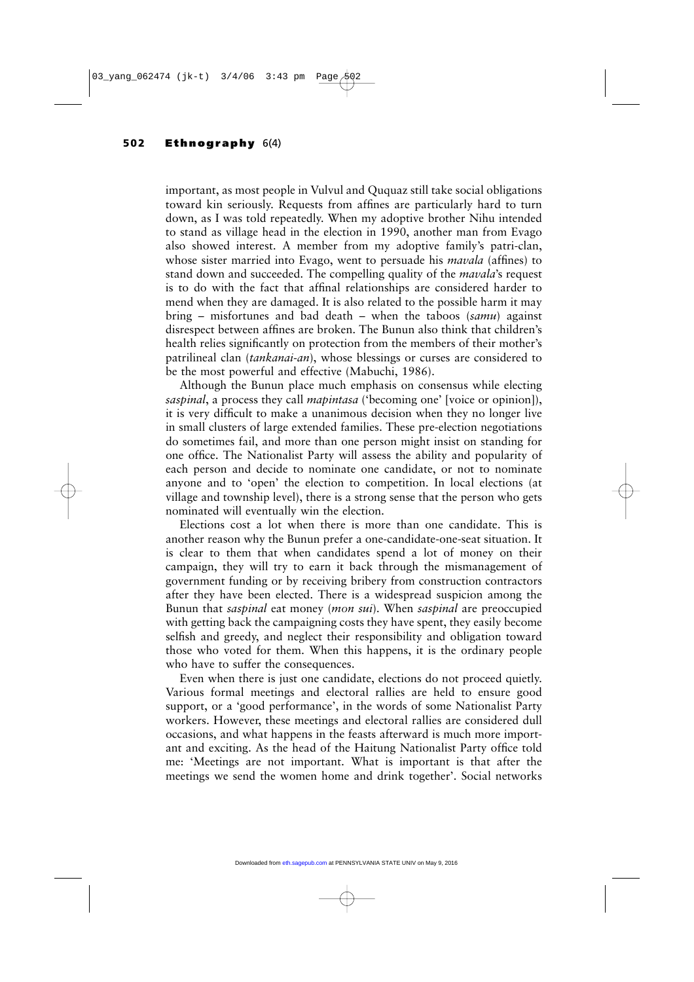important, as most people in Vulvul and Ququaz still take social obligations toward kin seriously. Requests from affines are particularly hard to turn down, as I was told repeatedly. When my adoptive brother Nihu intended to stand as village head in the election in 1990, another man from Evago also showed interest. A member from my adoptive family's patri-clan, whose sister married into Evago, went to persuade his *mavala* (affines) to stand down and succeeded. The compelling quality of the *mavala*'s request is to do with the fact that affinal relationships are considered harder to mend when they are damaged. It is also related to the possible harm it may bring – misfortunes and bad death – when the taboos (*samu*) against disrespect between affines are broken. The Bunun also think that children's health relies significantly on protection from the members of their mother's patrilineal clan (*tankanai-an*), whose blessings or curses are considered to be the most powerful and effective (Mabuchi, 1986).

Although the Bunun place much emphasis on consensus while electing *saspinal*, a process they call *mapintasa* ('becoming one' [voice or opinion]), it is very difficult to make a unanimous decision when they no longer live in small clusters of large extended families. These pre-election negotiations do sometimes fail, and more than one person might insist on standing for one office. The Nationalist Party will assess the ability and popularity of each person and decide to nominate one candidate, or not to nominate anyone and to 'open' the election to competition. In local elections (at village and township level), there is a strong sense that the person who gets nominated will eventually win the election.

Elections cost a lot when there is more than one candidate. This is another reason why the Bunun prefer a one-candidate-one-seat situation. It is clear to them that when candidates spend a lot of money on their campaign, they will try to earn it back through the mismanagement of government funding or by receiving bribery from construction contractors after they have been elected. There is a widespread suspicion among the Bunun that *saspinal* eat money (*mon sui*). When *saspinal* are preoccupied with getting back the campaigning costs they have spent, they easily become selfish and greedy, and neglect their responsibility and obligation toward those who voted for them. When this happens, it is the ordinary people who have to suffer the consequences.

Even when there is just one candidate, elections do not proceed quietly. Various formal meetings and electoral rallies are held to ensure good support, or a 'good performance', in the words of some Nationalist Party workers. However, these meetings and electoral rallies are considered dull occasions, and what happens in the feasts afterward is much more important and exciting. As the head of the Haitung Nationalist Party office told me: 'Meetings are not important. What is important is that after the meetings we send the women home and drink together'. Social networks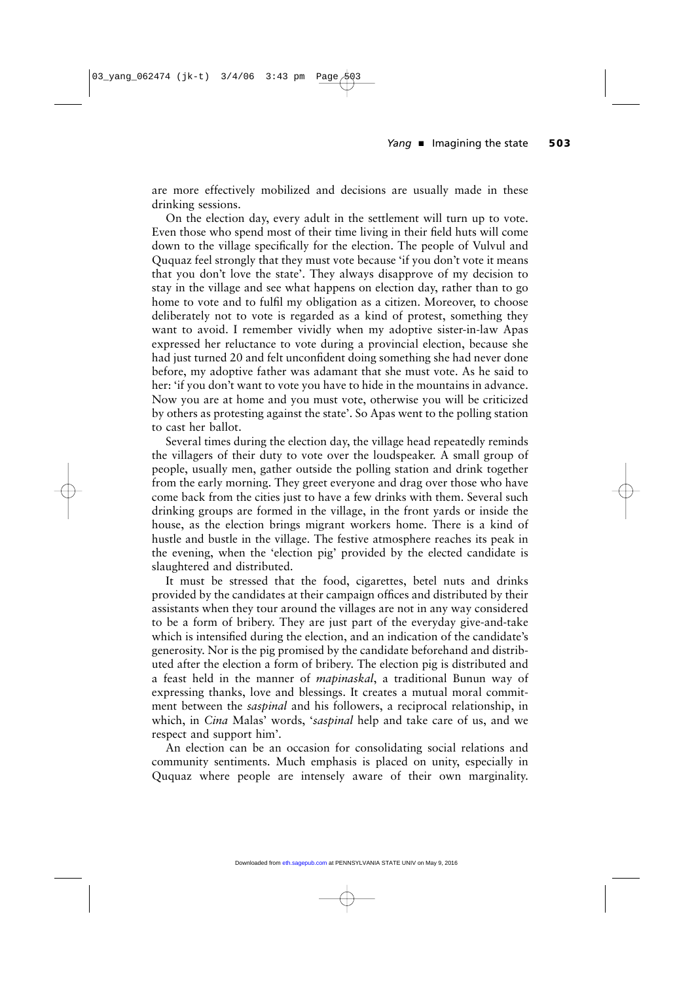are more effectively mobilized and decisions are usually made in these drinking sessions.

On the election day, every adult in the settlement will turn up to vote. Even those who spend most of their time living in their field huts will come down to the village specifically for the election. The people of Vulvul and Ququaz feel strongly that they must vote because 'if you don't vote it means that you don't love the state'. They always disapprove of my decision to stay in the village and see what happens on election day, rather than to go home to vote and to fulfil my obligation as a citizen. Moreover, to choose deliberately not to vote is regarded as a kind of protest, something they want to avoid. I remember vividly when my adoptive sister-in-law Apas expressed her reluctance to vote during a provincial election, because she had just turned 20 and felt unconfident doing something she had never done before, my adoptive father was adamant that she must vote. As he said to her: 'if you don't want to vote you have to hide in the mountains in advance. Now you are at home and you must vote, otherwise you will be criticized by others as protesting against the state'. So Apas went to the polling station to cast her ballot.

Several times during the election day, the village head repeatedly reminds the villagers of their duty to vote over the loudspeaker. A small group of people, usually men, gather outside the polling station and drink together from the early morning. They greet everyone and drag over those who have come back from the cities just to have a few drinks with them. Several such drinking groups are formed in the village, in the front yards or inside the house, as the election brings migrant workers home. There is a kind of hustle and bustle in the village. The festive atmosphere reaches its peak in the evening, when the 'election pig' provided by the elected candidate is slaughtered and distributed.

It must be stressed that the food, cigarettes, betel nuts and drinks provided by the candidates at their campaign offices and distributed by their assistants when they tour around the villages are not in any way considered to be a form of bribery. They are just part of the everyday give-and-take which is intensified during the election, and an indication of the candidate's generosity. Nor is the pig promised by the candidate beforehand and distributed after the election a form of bribery. The election pig is distributed and a feast held in the manner of *mapinaskal*, a traditional Bunun way of expressing thanks, love and blessings. It creates a mutual moral commitment between the *saspinal* and his followers, a reciprocal relationship, in which, in *Cina* Malas' words, '*saspinal* help and take care of us, and we respect and support him'.

An election can be an occasion for consolidating social relations and community sentiments. Much emphasis is placed on unity, especially in Ququaz where people are intensely aware of their own marginality.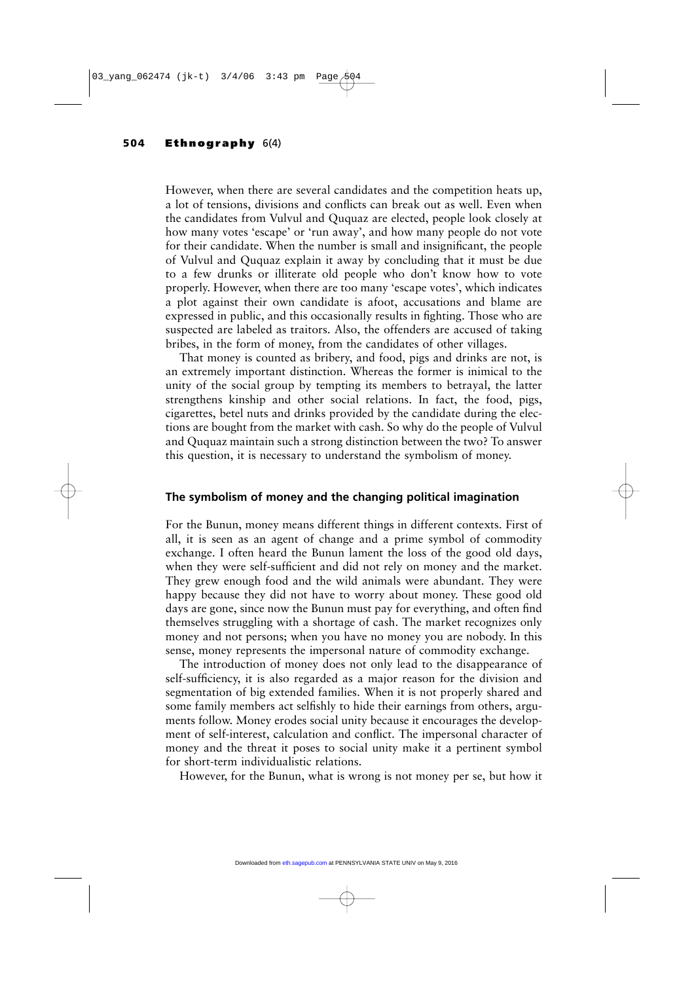However, when there are several candidates and the competition heats up, a lot of tensions, divisions and conflicts can break out as well. Even when the candidates from Vulvul and Ququaz are elected, people look closely at how many votes 'escape' or 'run away', and how many people do not vote for their candidate. When the number is small and insignificant, the people of Vulvul and Ququaz explain it away by concluding that it must be due to a few drunks or illiterate old people who don't know how to vote properly. However, when there are too many 'escape votes', which indicates a plot against their own candidate is afoot, accusations and blame are expressed in public, and this occasionally results in fighting. Those who are suspected are labeled as traitors. Also, the offenders are accused of taking bribes, in the form of money, from the candidates of other villages.

That money is counted as bribery, and food, pigs and drinks are not, is an extremely important distinction. Whereas the former is inimical to the unity of the social group by tempting its members to betrayal, the latter strengthens kinship and other social relations. In fact, the food, pigs, cigarettes, betel nuts and drinks provided by the candidate during the elections are bought from the market with cash. So why do the people of Vulvul and Ququaz maintain such a strong distinction between the two? To answer this question, it is necessary to understand the symbolism of money.

#### **The symbolism of money and the changing political imagination**

For the Bunun, money means different things in different contexts. First of all, it is seen as an agent of change and a prime symbol of commodity exchange. I often heard the Bunun lament the loss of the good old days, when they were self-sufficient and did not rely on money and the market. They grew enough food and the wild animals were abundant. They were happy because they did not have to worry about money. These good old days are gone, since now the Bunun must pay for everything, and often find themselves struggling with a shortage of cash. The market recognizes only money and not persons; when you have no money you are nobody. In this sense, money represents the impersonal nature of commodity exchange.

The introduction of money does not only lead to the disappearance of self-sufficiency, it is also regarded as a major reason for the division and segmentation of big extended families. When it is not properly shared and some family members act selfishly to hide their earnings from others, arguments follow. Money erodes social unity because it encourages the development of self-interest, calculation and conflict. The impersonal character of money and the threat it poses to social unity make it a pertinent symbol for short-term individualistic relations.

However, for the Bunun, what is wrong is not money per se, but how it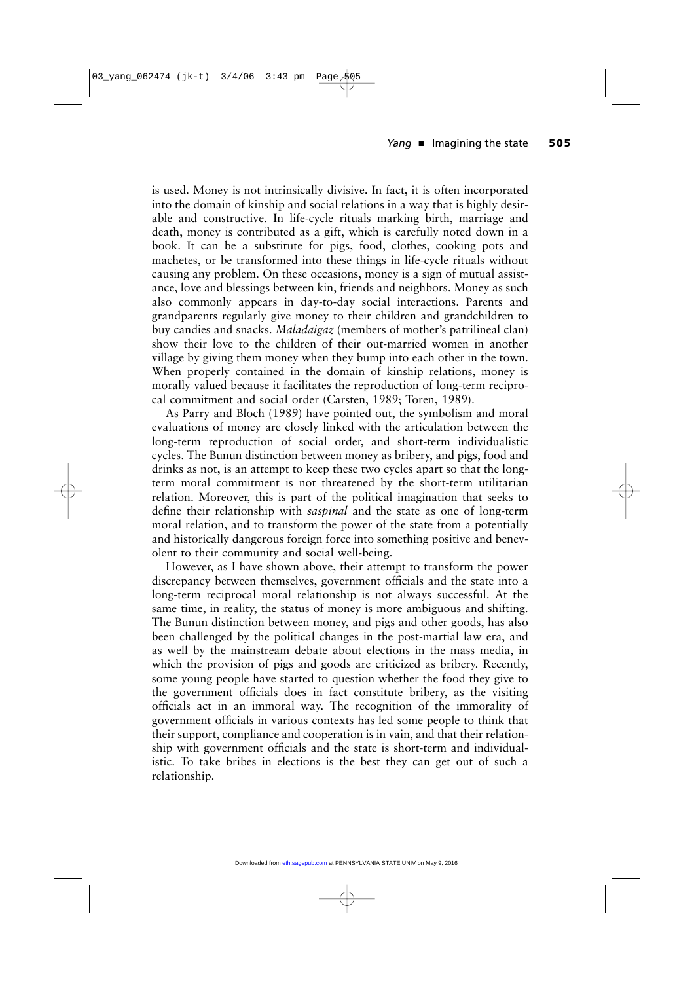is used. Money is not intrinsically divisive. In fact, it is often incorporated into the domain of kinship and social relations in a way that is highly desirable and constructive. In life-cycle rituals marking birth, marriage and death, money is contributed as a gift, which is carefully noted down in a book. It can be a substitute for pigs, food, clothes, cooking pots and machetes, or be transformed into these things in life-cycle rituals without causing any problem. On these occasions, money is a sign of mutual assistance, love and blessings between kin, friends and neighbors. Money as such also commonly appears in day-to-day social interactions. Parents and grandparents regularly give money to their children and grandchildren to buy candies and snacks. *Maladaigaz* (members of mother's patrilineal clan) show their love to the children of their out-married women in another village by giving them money when they bump into each other in the town. When properly contained in the domain of kinship relations, money is morally valued because it facilitates the reproduction of long-term reciprocal commitment and social order (Carsten, 1989; Toren, 1989).

As Parry and Bloch (1989) have pointed out, the symbolism and moral evaluations of money are closely linked with the articulation between the long-term reproduction of social order, and short-term individualistic cycles. The Bunun distinction between money as bribery, and pigs, food and drinks as not, is an attempt to keep these two cycles apart so that the longterm moral commitment is not threatened by the short-term utilitarian relation. Moreover, this is part of the political imagination that seeks to define their relationship with *saspinal* and the state as one of long-term moral relation, and to transform the power of the state from a potentially and historically dangerous foreign force into something positive and benevolent to their community and social well-being.

However, as I have shown above, their attempt to transform the power discrepancy between themselves, government officials and the state into a long-term reciprocal moral relationship is not always successful. At the same time, in reality, the status of money is more ambiguous and shifting. The Bunun distinction between money, and pigs and other goods, has also been challenged by the political changes in the post-martial law era, and as well by the mainstream debate about elections in the mass media, in which the provision of pigs and goods are criticized as bribery. Recently, some young people have started to question whether the food they give to the government officials does in fact constitute bribery, as the visiting officials act in an immoral way. The recognition of the immorality of government officials in various contexts has led some people to think that their support, compliance and cooperation is in vain, and that their relationship with government officials and the state is short-term and individualistic. To take bribes in elections is the best they can get out of such a relationship.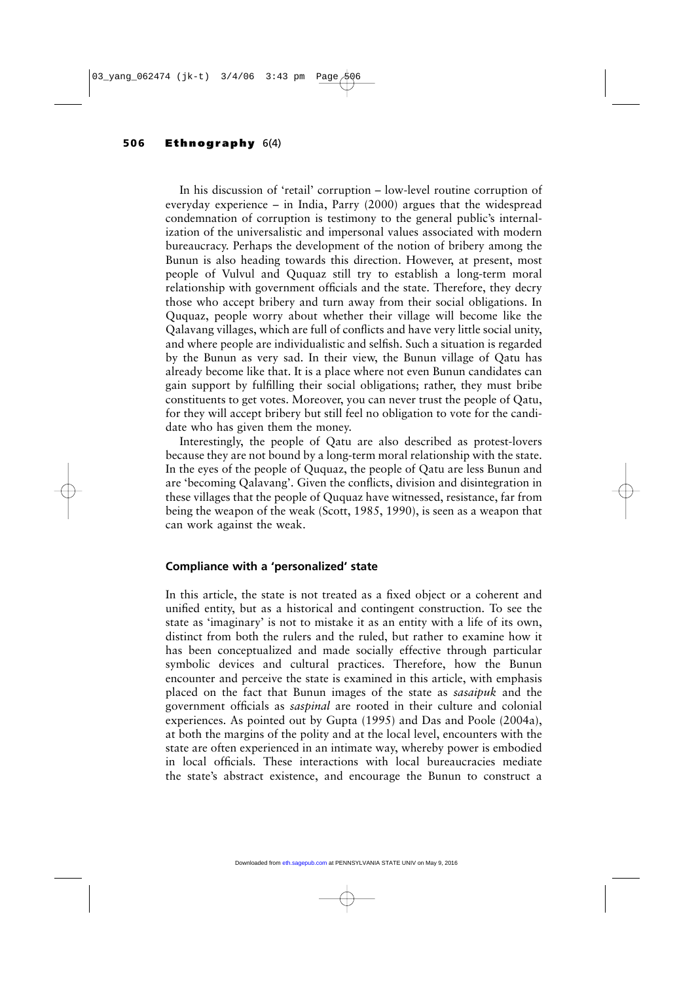In his discussion of 'retail' corruption – low-level routine corruption of everyday experience – in India, Parry (2000) argues that the widespread condemnation of corruption is testimony to the general public's internalization of the universalistic and impersonal values associated with modern bureaucracy. Perhaps the development of the notion of bribery among the Bunun is also heading towards this direction. However, at present, most people of Vulvul and Ququaz still try to establish a long-term moral relationship with government officials and the state. Therefore, they decry those who accept bribery and turn away from their social obligations. In Ququaz, people worry about whether their village will become like the Qalavang villages, which are full of conflicts and have very little social unity, and where people are individualistic and selfish. Such a situation is regarded by the Bunun as very sad. In their view, the Bunun village of Qatu has already become like that. It is a place where not even Bunun candidates can gain support by fulfilling their social obligations; rather, they must bribe constituents to get votes. Moreover, you can never trust the people of Qatu, for they will accept bribery but still feel no obligation to vote for the candidate who has given them the money.

Interestingly, the people of Qatu are also described as protest-lovers because they are not bound by a long-term moral relationship with the state. In the eyes of the people of Ququaz, the people of Qatu are less Bunun and are 'becoming Qalavang'. Given the conflicts, division and disintegration in these villages that the people of Ququaz have witnessed, resistance, far from being the weapon of the weak (Scott, 1985, 1990), is seen as a weapon that can work against the weak.

# **Compliance with a 'personalized' state**

In this article, the state is not treated as a fixed object or a coherent and unified entity, but as a historical and contingent construction. To see the state as 'imaginary' is not to mistake it as an entity with a life of its own, distinct from both the rulers and the ruled, but rather to examine how it has been conceptualized and made socially effective through particular symbolic devices and cultural practices. Therefore, how the Bunun encounter and perceive the state is examined in this article, with emphasis placed on the fact that Bunun images of the state as *sasaipuk* and the government officials as *saspinal* are rooted in their culture and colonial experiences. As pointed out by Gupta (1995) and Das and Poole (2004a), at both the margins of the polity and at the local level, encounters with the state are often experienced in an intimate way, whereby power is embodied in local officials. These interactions with local bureaucracies mediate the state's abstract existence, and encourage the Bunun to construct a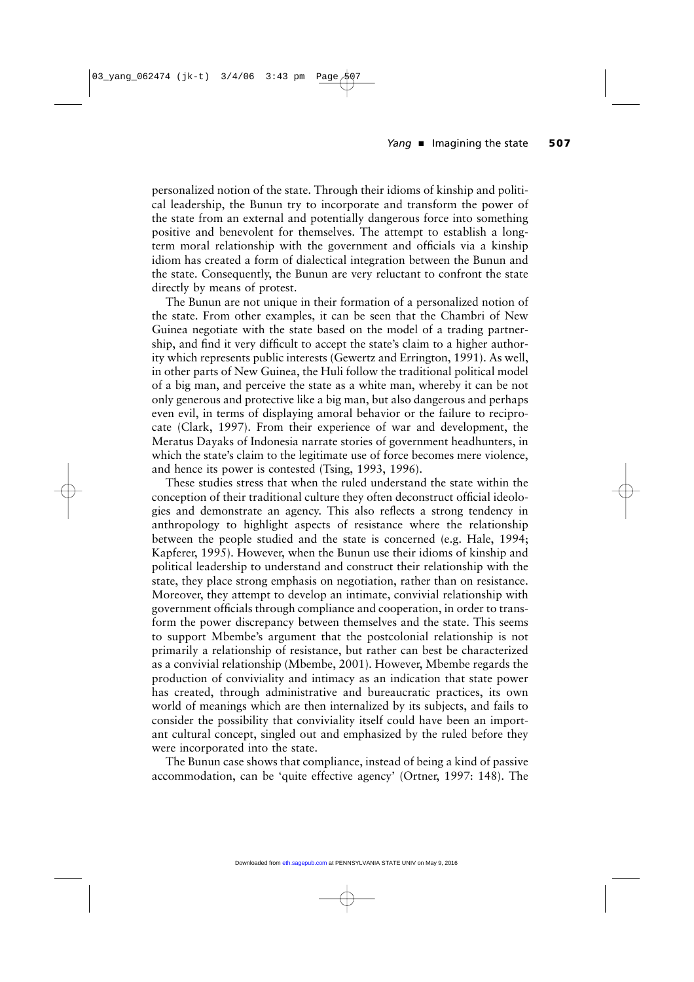personalized notion of the state. Through their idioms of kinship and political leadership, the Bunun try to incorporate and transform the power of the state from an external and potentially dangerous force into something positive and benevolent for themselves. The attempt to establish a longterm moral relationship with the government and officials via a kinship idiom has created a form of dialectical integration between the Bunun and the state. Consequently, the Bunun are very reluctant to confront the state directly by means of protest.

The Bunun are not unique in their formation of a personalized notion of the state. From other examples, it can be seen that the Chambri of New Guinea negotiate with the state based on the model of a trading partnership, and find it very difficult to accept the state's claim to a higher authority which represents public interests (Gewertz and Errington, 1991). As well, in other parts of New Guinea, the Huli follow the traditional political model of a big man, and perceive the state as a white man, whereby it can be not only generous and protective like a big man, but also dangerous and perhaps even evil, in terms of displaying amoral behavior or the failure to reciprocate (Clark, 1997). From their experience of war and development, the Meratus Dayaks of Indonesia narrate stories of government headhunters, in which the state's claim to the legitimate use of force becomes mere violence, and hence its power is contested (Tsing, 1993, 1996).

These studies stress that when the ruled understand the state within the conception of their traditional culture they often deconstruct official ideologies and demonstrate an agency. This also reflects a strong tendency in anthropology to highlight aspects of resistance where the relationship between the people studied and the state is concerned (e.g. Hale, 1994; Kapferer, 1995). However, when the Bunun use their idioms of kinship and political leadership to understand and construct their relationship with the state, they place strong emphasis on negotiation, rather than on resistance. Moreover, they attempt to develop an intimate, convivial relationship with government officials through compliance and cooperation, in order to transform the power discrepancy between themselves and the state. This seems to support Mbembe's argument that the postcolonial relationship is not primarily a relationship of resistance, but rather can best be characterized as a convivial relationship (Mbembe, 2001). However, Mbembe regards the production of conviviality and intimacy as an indication that state power has created, through administrative and bureaucratic practices, its own world of meanings which are then internalized by its subjects, and fails to consider the possibility that conviviality itself could have been an important cultural concept, singled out and emphasized by the ruled before they were incorporated into the state.

The Bunun case shows that compliance, instead of being a kind of passive accommodation, can be 'quite effective agency' (Ortner, 1997: 148). The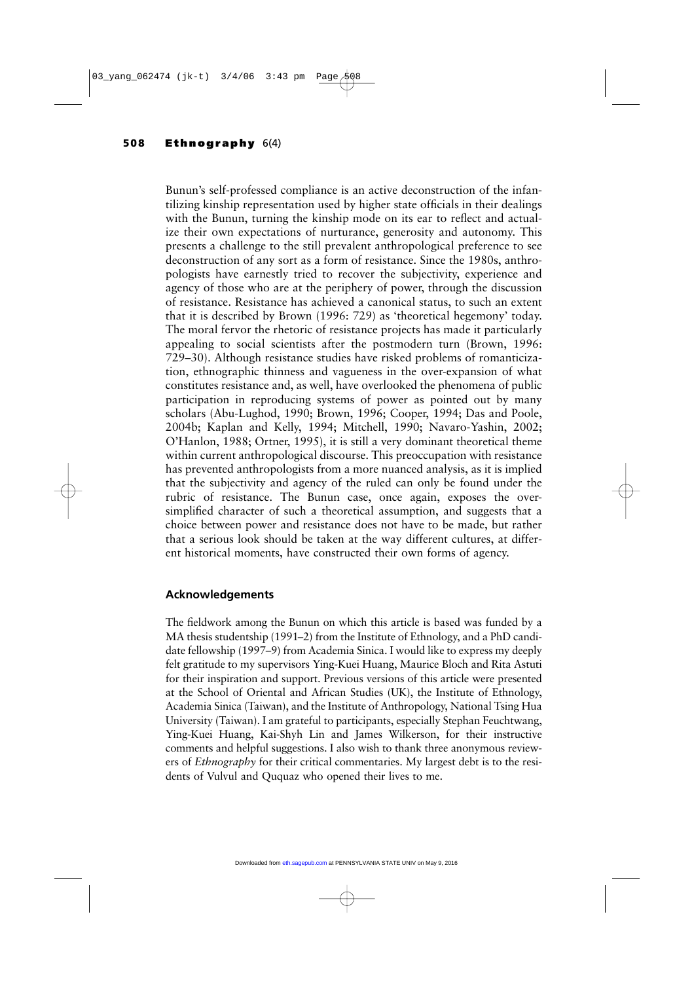Bunun's self-professed compliance is an active deconstruction of the infantilizing kinship representation used by higher state officials in their dealings with the Bunun, turning the kinship mode on its ear to reflect and actualize their own expectations of nurturance, generosity and autonomy. This presents a challenge to the still prevalent anthropological preference to see deconstruction of any sort as a form of resistance. Since the 1980s, anthropologists have earnestly tried to recover the subjectivity, experience and agency of those who are at the periphery of power, through the discussion of resistance. Resistance has achieved a canonical status, to such an extent that it is described by Brown (1996: 729) as 'theoretical hegemony' today. The moral fervor the rhetoric of resistance projects has made it particularly appealing to social scientists after the postmodern turn (Brown, 1996: 729–30). Although resistance studies have risked problems of romanticization, ethnographic thinness and vagueness in the over-expansion of what constitutes resistance and, as well, have overlooked the phenomena of public participation in reproducing systems of power as pointed out by many scholars (Abu-Lughod, 1990; Brown, 1996; Cooper, 1994; Das and Poole, 2004b; Kaplan and Kelly, 1994; Mitchell, 1990; Navaro-Yashin, 2002; O'Hanlon, 1988; Ortner, 1995), it is still a very dominant theoretical theme within current anthropological discourse. This preoccupation with resistance has prevented anthropologists from a more nuanced analysis, as it is implied that the subjectivity and agency of the ruled can only be found under the rubric of resistance. The Bunun case, once again, exposes the oversimplified character of such a theoretical assumption, and suggests that a choice between power and resistance does not have to be made, but rather that a serious look should be taken at the way different cultures, at different historical moments, have constructed their own forms of agency.

# **Acknowledgements**

The fieldwork among the Bunun on which this article is based was funded by a MA thesis studentship (1991–2) from the Institute of Ethnology, and a PhD candidate fellowship (1997–9) from Academia Sinica. I would like to express my deeply felt gratitude to my supervisors Ying-Kuei Huang, Maurice Bloch and Rita Astuti for their inspiration and support. Previous versions of this article were presented at the School of Oriental and African Studies (UK), the Institute of Ethnology, Academia Sinica (Taiwan), and the Institute of Anthropology, National Tsing Hua University (Taiwan). I am grateful to participants, especially Stephan Feuchtwang, Ying-Kuei Huang, Kai-Shyh Lin and James Wilkerson, for their instructive comments and helpful suggestions. I also wish to thank three anonymous reviewers of *Ethnography* for their critical commentaries. My largest debt is to the residents of Vulvul and Ququaz who opened their lives to me.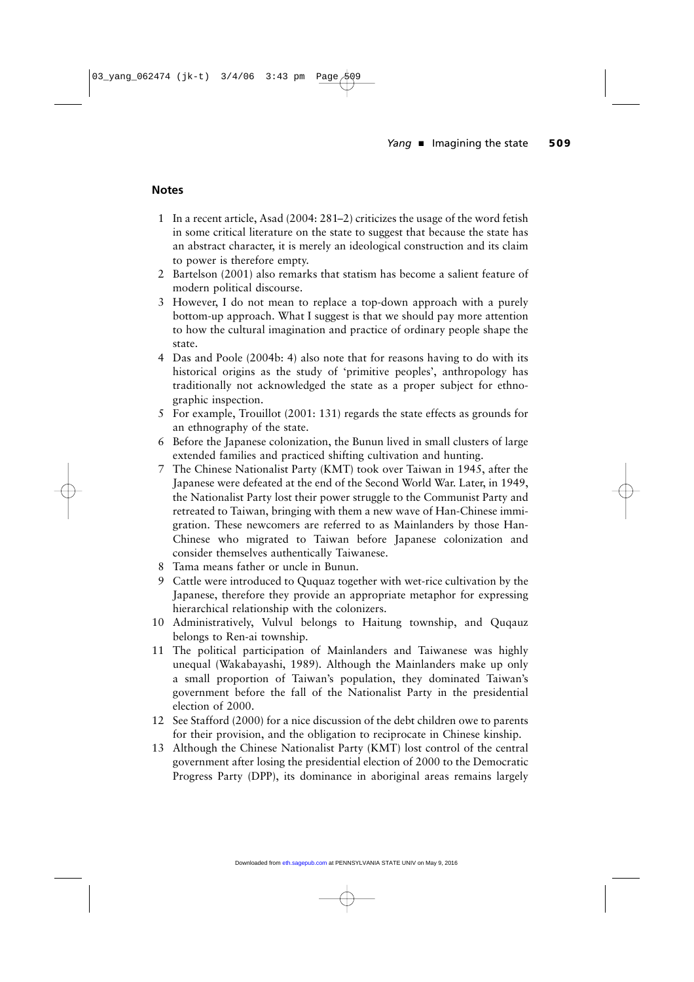## **Notes**

- 1 In a recent article, Asad (2004: 281–2) criticizes the usage of the word fetish in some critical literature on the state to suggest that because the state has an abstract character, it is merely an ideological construction and its claim to power is therefore empty.
- 2 Bartelson (2001) also remarks that statism has become a salient feature of modern political discourse.
- 3 However, I do not mean to replace a top-down approach with a purely bottom-up approach. What I suggest is that we should pay more attention to how the cultural imagination and practice of ordinary people shape the state.
- 4 Das and Poole (2004b: 4) also note that for reasons having to do with its historical origins as the study of 'primitive peoples', anthropology has traditionally not acknowledged the state as a proper subject for ethnographic inspection.
- 5 For example, Trouillot (2001: 131) regards the state effects as grounds for an ethnography of the state.
- 6 Before the Japanese colonization, the Bunun lived in small clusters of large extended families and practiced shifting cultivation and hunting.
- 7 The Chinese Nationalist Party (KMT) took over Taiwan in 1945, after the Japanese were defeated at the end of the Second World War. Later, in 1949, the Nationalist Party lost their power struggle to the Communist Party and retreated to Taiwan, bringing with them a new wave of Han-Chinese immigration. These newcomers are referred to as Mainlanders by those Han-Chinese who migrated to Taiwan before Japanese colonization and consider themselves authentically Taiwanese.
- 8 Tama means father or uncle in Bunun.
- 9 Cattle were introduced to Ququaz together with wet-rice cultivation by the Japanese, therefore they provide an appropriate metaphor for expressing hierarchical relationship with the colonizers.
- 10 Administratively, Vulvul belongs to Haitung township, and Quqauz belongs to Ren-ai township.
- 11 The political participation of Mainlanders and Taiwanese was highly unequal (Wakabayashi, 1989). Although the Mainlanders make up only a small proportion of Taiwan's population, they dominated Taiwan's government before the fall of the Nationalist Party in the presidential election of 2000.
- 12 See Stafford (2000) for a nice discussion of the debt children owe to parents for their provision, and the obligation to reciprocate in Chinese kinship.
- 13 Although the Chinese Nationalist Party (KMT) lost control of the central government after losing the presidential election of 2000 to the Democratic Progress Party (DPP), its dominance in aboriginal areas remains largely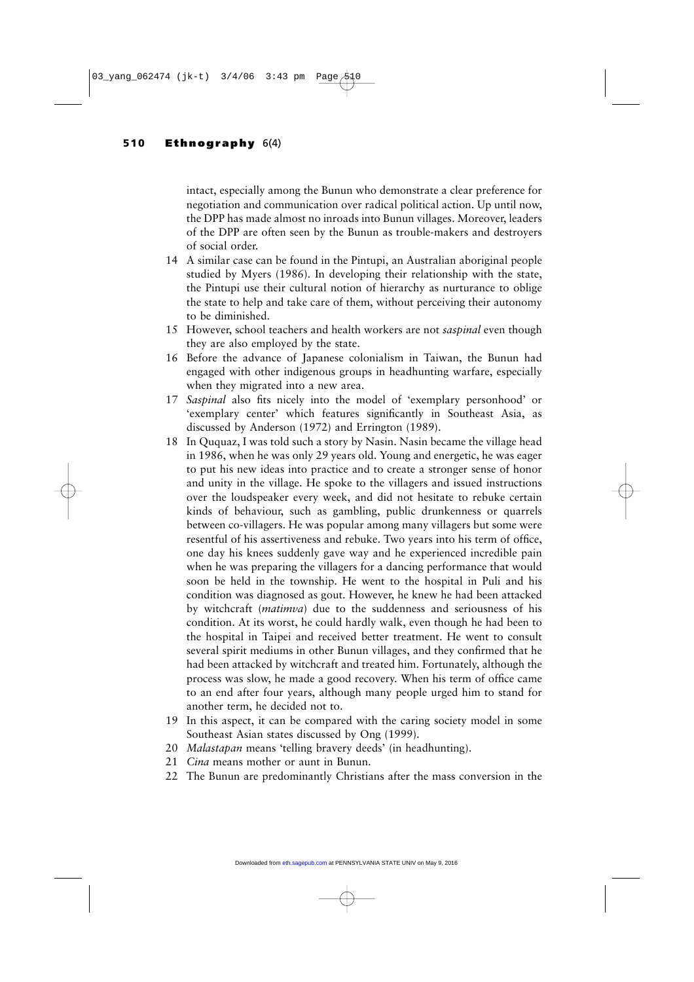intact, especially among the Bunun who demonstrate a clear preference for negotiation and communication over radical political action. Up until now, the DPP has made almost no inroads into Bunun villages. Moreover, leaders of the DPP are often seen by the Bunun as trouble-makers and destroyers of social order.

- 14 A similar case can be found in the Pintupi, an Australian aboriginal people studied by Myers (1986). In developing their relationship with the state, the Pintupi use their cultural notion of hierarchy as nurturance to oblige the state to help and take care of them, without perceiving their autonomy to be diminished.
- 15 However, school teachers and health workers are not *saspinal* even though they are also employed by the state.
- 16 Before the advance of Japanese colonialism in Taiwan, the Bunun had engaged with other indigenous groups in headhunting warfare, especially when they migrated into a new area.
- 17 *Saspinal* also fits nicely into the model of 'exemplary personhood' or 'exemplary center' which features significantly in Southeast Asia, as discussed by Anderson (1972) and Errington (1989).
- 18 In Ququaz, I was told such a story by Nasin. Nasin became the village head in 1986, when he was only 29 years old. Young and energetic, he was eager to put his new ideas into practice and to create a stronger sense of honor and unity in the village. He spoke to the villagers and issued instructions over the loudspeaker every week, and did not hesitate to rebuke certain kinds of behaviour, such as gambling, public drunkenness or quarrels between co-villagers. He was popular among many villagers but some were resentful of his assertiveness and rebuke. Two years into his term of office, one day his knees suddenly gave way and he experienced incredible pain when he was preparing the villagers for a dancing performance that would soon be held in the township. He went to the hospital in Puli and his condition was diagnosed as gout. However, he knew he had been attacked by witchcraft (*matimva*) due to the suddenness and seriousness of his condition. At its worst, he could hardly walk, even though he had been to the hospital in Taipei and received better treatment. He went to consult several spirit mediums in other Bunun villages, and they confirmed that he had been attacked by witchcraft and treated him. Fortunately, although the process was slow, he made a good recovery. When his term of office came to an end after four years, although many people urged him to stand for another term, he decided not to.
- 19 In this aspect, it can be compared with the caring society model in some Southeast Asian states discussed by Ong (1999).
- 20 *Malastapan* means 'telling bravery deeds' (in headhunting).
- 21 *Cina* means mother or aunt in Bunun.
- 22 The Bunun are predominantly Christians after the mass conversion in the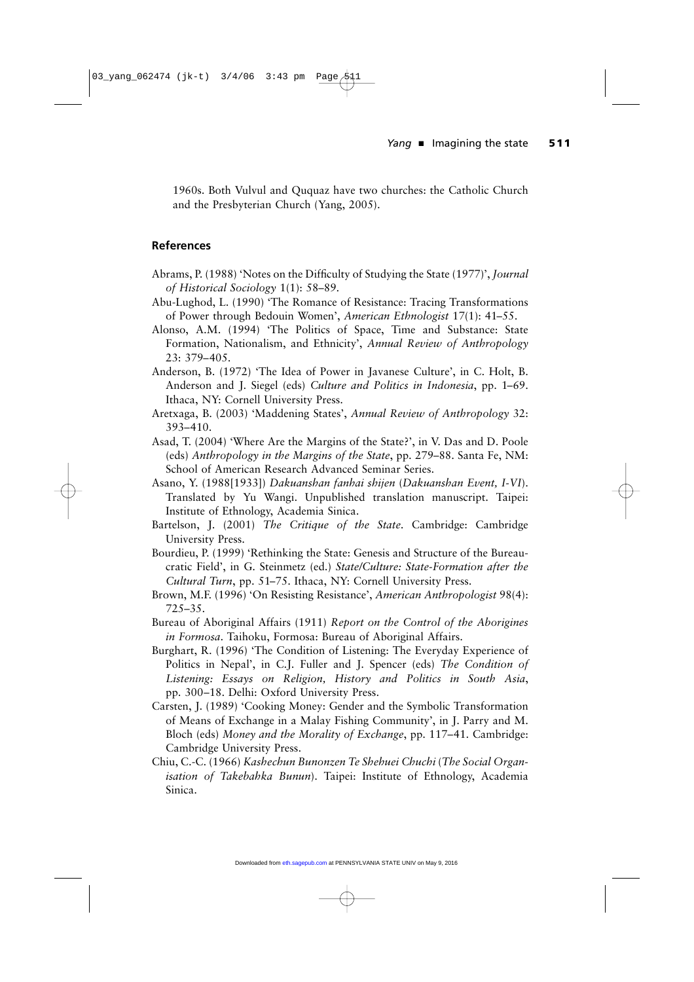1960s. Both Vulvul and Ququaz have two churches: the Catholic Church and the Presbyterian Church (Yang, 2005).

#### **References**

- Abrams, P. (1988) 'Notes on the Difficulty of Studying the State (1977)', *Journal of Historical Sociology* 1(1): 58–89.
- Abu-Lughod, L. (1990) 'The Romance of Resistance: Tracing Transformations of Power through Bedouin Women', *American Ethnologist* 17(1): 41–55.
- Alonso, A.M. (1994) 'The Politics of Space, Time and Substance: State Formation, Nationalism, and Ethnicity', *Annual Review of Anthropology* 23: 379–405.
- Anderson, B. (1972) 'The Idea of Power in Javanese Culture', in C. Holt, B. Anderson and J. Siegel (eds) *Culture and Politics in Indonesia*, pp. 1–69. Ithaca, NY: Cornell University Press.
- Aretxaga, B. (2003) 'Maddening States', *Annual Review of Anthropology* 32: 393–410.
- Asad, T. (2004) 'Where Are the Margins of the State?', in V. Das and D. Poole (eds) *Anthropology in the Margins of the State*, pp. 279–88. Santa Fe, NM: School of American Research Advanced Seminar Series.
- Asano, Y. (1988[1933]) *Dakuanshan fanhai shijen* (*Dakuanshan Event, I-VI*). Translated by Yu Wangi. Unpublished translation manuscript. Taipei: Institute of Ethnology, Academia Sinica.
- Bartelson, J. (2001) *The Critique of the State*. Cambridge: Cambridge University Press.
- Bourdieu, P. (1999) 'Rethinking the State: Genesis and Structure of the Bureaucratic Field', in G. Steinmetz (ed.) *State/Culture: State-Formation after the Cultural Turn*, pp. 51–75. Ithaca, NY: Cornell University Press.
- Brown, M.F. (1996) 'On Resisting Resistance', *American Anthropologist* 98(4): 725–35.
- Bureau of Aboriginal Affairs (1911) *Report on the Control of the Aborigines in Formosa*. Taihoku, Formosa: Bureau of Aboriginal Affairs.
- Burghart, R. (1996) 'The Condition of Listening: The Everyday Experience of Politics in Nepal', in C.J. Fuller and J. Spencer (eds) *The Condition of Listening: Essays on Religion, History and Politics in South Asia*, pp. 300–18. Delhi: Oxford University Press.
- Carsten, J. (1989) 'Cooking Money: Gender and the Symbolic Transformation of Means of Exchange in a Malay Fishing Community', in J. Parry and M. Bloch (eds) *Money and the Morality of Exchange*, pp. 117–41. Cambridge: Cambridge University Press.
- Chiu, C.-C. (1966) *Kashechun Bunonzen Te Shehuei Chuchi* (*The Social Organisation of Takebahka Bunun*). Taipei: Institute of Ethnology, Academia Sinica.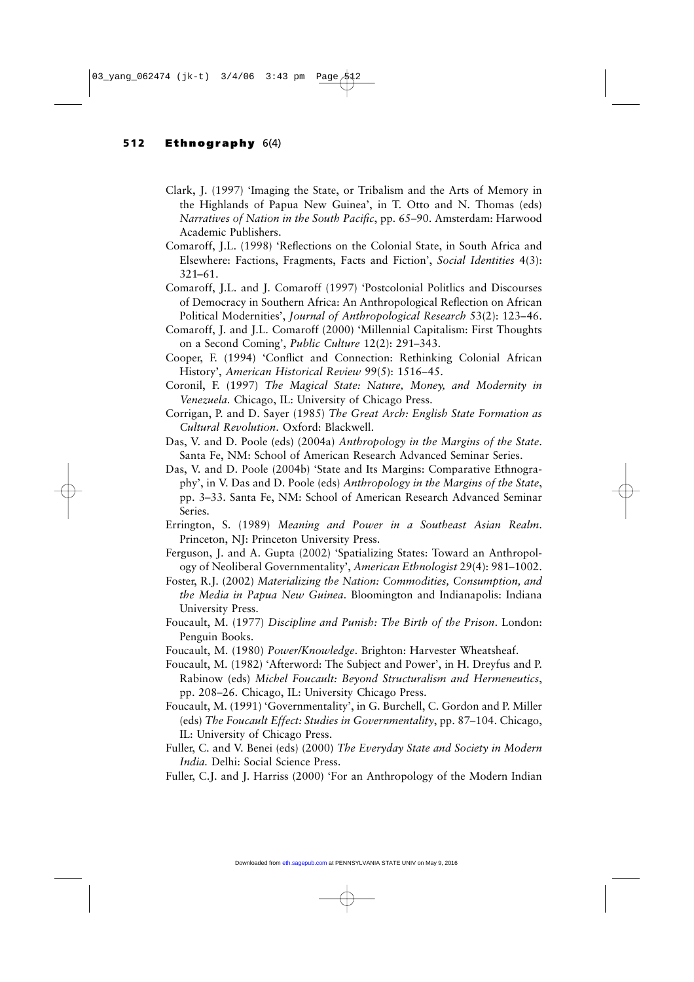- Clark, J. (1997) 'Imaging the State, or Tribalism and the Arts of Memory in the Highlands of Papua New Guinea', in T. Otto and N. Thomas (eds) *Narratives of Nation in the South Pacific*, pp. 65–90. Amsterdam: Harwood Academic Publishers.
- Comaroff, J.L. (1998) 'Reflections on the Colonial State, in South Africa and Elsewhere: Factions, Fragments, Facts and Fiction', *Social Identities* 4(3): 321–61.
- Comaroff, J.L. and J. Comaroff (1997) 'Postcolonial Politlics and Discourses of Democracy in Southern Africa: An Anthropological Reflection on African Political Modernities', *Journal of Anthropological Research* 53(2): 123–46.
- Comaroff, J. and J.L. Comaroff (2000) 'Millennial Capitalism: First Thoughts on a Second Coming', *Public Culture* 12(2): 291–343.
- Cooper, F. (1994) 'Conflict and Connection: Rethinking Colonial African History', *American Historical Review* 99(5): 1516–45.
- Coronil, F. (1997) *The Magical State: Nature, Money, and Modernity in Venezuela.* Chicago, IL: University of Chicago Press.
- Corrigan, P. and D. Sayer (1985) *The Great Arch: English State Formation as Cultural Revolution*. Oxford: Blackwell.
- Das, V. and D. Poole (eds) (2004a) *Anthropology in the Margins of the State*. Santa Fe, NM: School of American Research Advanced Seminar Series.
- Das, V. and D. Poole (2004b) 'State and Its Margins: Comparative Ethnography', in V. Das and D. Poole (eds) *Anthropology in the Margins of the State*, pp. 3–33. Santa Fe, NM: School of American Research Advanced Seminar Series.
- Errington, S. (1989) *Meaning and Power in a Southeast Asian Realm*. Princeton, NJ: Princeton University Press.
- Ferguson, J. and A. Gupta (2002) 'Spatializing States: Toward an Anthropology of Neoliberal Governmentality', *American Ethnologist* 29(4): 981–1002.
- Foster, R.J. (2002) *Materializing the Nation: Commodities, Consumption, and the Media in Papua New Guinea*. Bloomington and Indianapolis: Indiana University Press.
- Foucault, M. (1977) *Discipline and Punish: The Birth of the Prison*. London: Penguin Books.
- Foucault, M. (1980) *Power/Knowledge*. Brighton: Harvester Wheatsheaf.
- Foucault, M. (1982) 'Afterword: The Subject and Power', in H. Dreyfus and P. Rabinow (eds) *Michel Foucault: Beyond Structuralism and Hermeneutics*, pp. 208–26. Chicago, IL: University Chicago Press.
- Foucault, M. (1991) 'Governmentality', in G. Burchell, C. Gordon and P. Miller (eds) *The Foucault Effect: Studies in Governmentality*, pp. 87–104. Chicago, IL: University of Chicago Press.
- Fuller, C. and V. Benei (eds) (2000) *The Everyday State and Society in Modern India.* Delhi: Social Science Press.
- Fuller, C.J. and J. Harriss (2000) 'For an Anthropology of the Modern Indian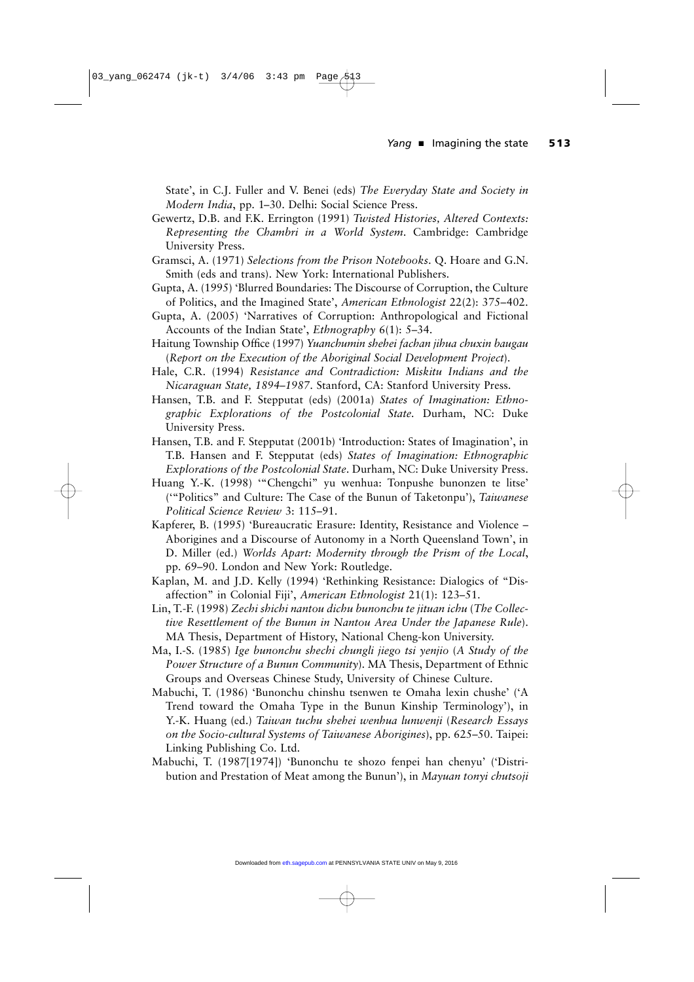State', in C.J. Fuller and V. Benei (eds) *The Everyday State and Society in Modern India*, pp. 1–30. Delhi: Social Science Press.

- Gewertz, D.B. and F.K. Errington (1991) *Twisted Histories, Altered Contexts: Representing the Chambri in a World System*. Cambridge: Cambridge University Press.
- Gramsci, A. (1971) *Selections from the Prison Notebooks*. Q. Hoare and G.N. Smith (eds and trans). New York: International Publishers.
- Gupta, A. (1995) 'Blurred Boundaries: The Discourse of Corruption, the Culture of Politics, and the Imagined State', *American Ethnologist* 22(2): 375–402.
- Gupta, A. (2005) 'Narratives of Corruption: Anthropological and Fictional Accounts of the Indian State', *Ethnography* 6(1): 5–34.
- Haitung Township Office (1997) *Yuanchumin shehei fachan jihua chuxin baugau* (*Report on the Execution of the Aboriginal Social Development Project*).
- Hale, C.R. (1994) *Resistance and Contradiction: Miskitu Indians and the Nicaraguan State, 1894–1987*. Stanford, CA: Stanford University Press.
- Hansen, T.B. and F. Stepputat (eds) (2001a) *States of Imagination: Ethnographic Explorations of the Postcolonial State.* Durham, NC: Duke University Press.
- Hansen, T.B. and F. Stepputat (2001b) 'Introduction: States of Imagination', in T.B. Hansen and F. Stepputat (eds) *States of Imagination: Ethnographic Explorations of the Postcolonial State*. Durham, NC: Duke University Press.
- Huang Y.-K. (1998) '"Chengchi" yu wenhua: Tonpushe bunonzen te litse' ('"Politics" and Culture: The Case of the Bunun of Taketonpu'), *Taiwanese Political Science Review* 3: 115–91.
- Kapferer, B. (1995) 'Bureaucratic Erasure: Identity, Resistance and Violence Aborigines and a Discourse of Autonomy in a North Queensland Town', in D. Miller (ed.) *Worlds Apart: Modernity through the Prism of the Local*, pp. 69–90. London and New York: Routledge.
- Kaplan, M. and J.D. Kelly (1994) 'Rethinking Resistance: Dialogics of "Disaffection" in Colonial Fiji', *American Ethnologist* 21(1): 123–51.
- Lin, T.-F. (1998) *Zechi shichi nantou dichu bunonchu te jituan ichu* (*The Collective Resettlement of the Bunun in Nantou Area Under the Japanese Rule*). MA Thesis, Department of History, National Cheng-kon University.
- Ma, I.-S. (1985) *Ige bunonchu shechi chungli jiego tsi yenjio* (*A Study of the Power Structure of a Bunun Community*). MA Thesis, Department of Ethnic Groups and Overseas Chinese Study, University of Chinese Culture.
- Mabuchi, T. (1986) 'Bunonchu chinshu tsenwen te Omaha lexin chushe' ('A Trend toward the Omaha Type in the Bunun Kinship Terminology'), in Y.-K. Huang (ed.) *Taiwan tuchu shehei wenhua lunwenji* (*Research Essays on the Socio-cultural Systems of Taiwanese Aborigines*), pp. 625–50. Taipei: Linking Publishing Co. Ltd.
- Mabuchi, T. (1987[1974]) 'Bunonchu te shozo fenpei han chenyu' ('Distribution and Prestation of Meat among the Bunun'), in *Mayuan tonyi chutsoji*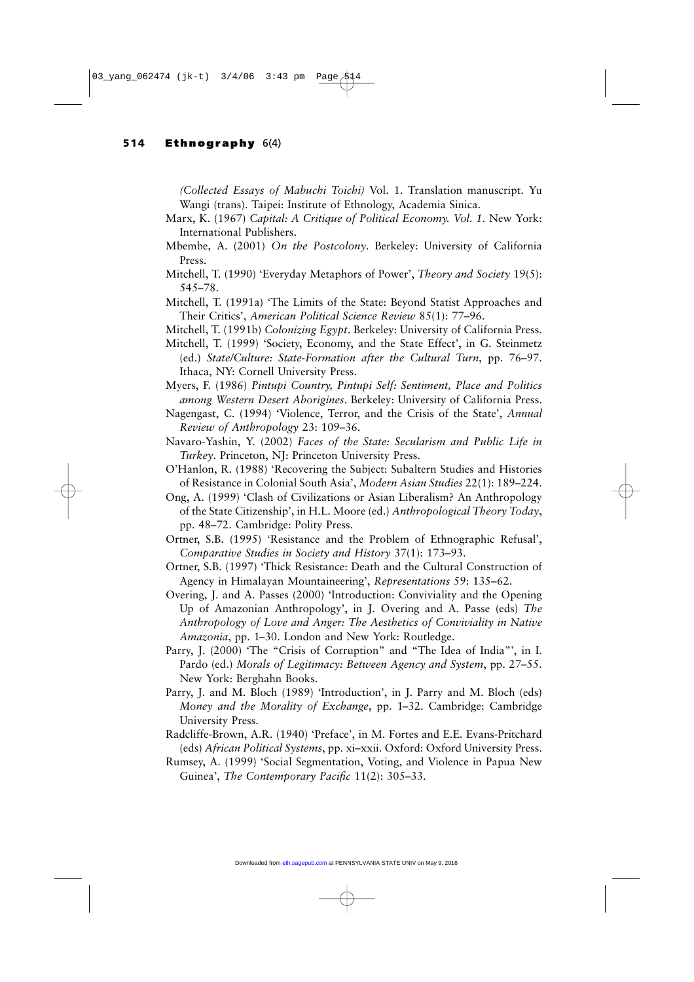*(Collected Essays of Mabuchi Toichi)* Vol. 1. Translation manuscript. Yu Wangi (trans). Taipei: Institute of Ethnology, Academia Sinica.

- Marx, K. (1967) *Capital: A Critique of Political Economy. Vol. 1.* New York: International Publishers.
- Mbembe, A. (2001) *On the Postcolony*. Berkeley: University of California Press.
- Mitchell, T. (1990) 'Everyday Metaphors of Power', *Theory and Society* 19(5): 545–78.
- Mitchell, T. (1991a) 'The Limits of the State: Beyond Statist Approaches and Their Critics', *American Political Science Review* 85(1): 77–96.
- Mitchell, T. (1991b) *Colonizing Egypt*. Berkeley: University of California Press.
- Mitchell, T. (1999) 'Society, Economy, and the State Effect', in G. Steinmetz (ed.) *State/Culture: State-Formation after the Cultural Turn*, pp. 76–97. Ithaca, NY: Cornell University Press.
- Myers, F. (1986) *Pintupi Country, Pintupi Self: Sentiment, Place and Politics among Western Desert Aborigines*. Berkeley: University of California Press.
- Nagengast, C. (1994) 'Violence, Terror, and the Crisis of the State', *Annual Review of Anthropology* 23: 109–36.
- Navaro-Yashin, Y. (2002) *Faces of the State: Secularism and Public Life in Turkey*. Princeton, NJ: Princeton University Press.
- O'Hanlon, R. (1988) 'Recovering the Subject: Subaltern Studies and Histories of Resistance in Colonial South Asia', *Modern Asian Studies* 22(1): 189–224.
- Ong, A. (1999) 'Clash of Civilizations or Asian Liberalism? An Anthropology of the State Citizenship', in H.L. Moore (ed.) *Anthropological Theory Today*, pp. 48–72. Cambridge: Polity Press.
- Ortner, S.B. (1995) 'Resistance and the Problem of Ethnographic Refusal', *Comparative Studies in Society and History* 37(1): 173–93.
- Ortner, S.B. (1997) 'Thick Resistance: Death and the Cultural Construction of Agency in Himalayan Mountaineering', *Representations* 59: 135–62.
- Overing, J. and A. Passes (2000) 'Introduction: Conviviality and the Opening Up of Amazonian Anthropology', in J. Overing and A. Passe (eds) *The Anthropology of Love and Anger: The Aesthetics of Conviviality in Native Amazonia*, pp. 1–30. London and New York: Routledge.
- Parry, J. (2000) 'The "Crisis of Corruption" and "The Idea of India"', in I. Pardo (ed.) *Morals of Legitimacy: Between Agency and System*, pp. 27–55. New York: Berghahn Books.
- Parry, J. and M. Bloch (1989) 'Introduction', in J. Parry and M. Bloch (eds) *Money and the Morality of Exchange*, pp. 1–32. Cambridge: Cambridge University Press.
- Radcliffe-Brown, A.R. (1940) 'Preface', in M. Fortes and E.E. Evans-Pritchard (eds) *African Political Systems*, pp. xi–xxii. Oxford: Oxford University Press.
- Rumsey, A. (1999) 'Social Segmentation, Voting, and Violence in Papua New Guinea', *The Contemporary Pacific* 11(2): 305–33.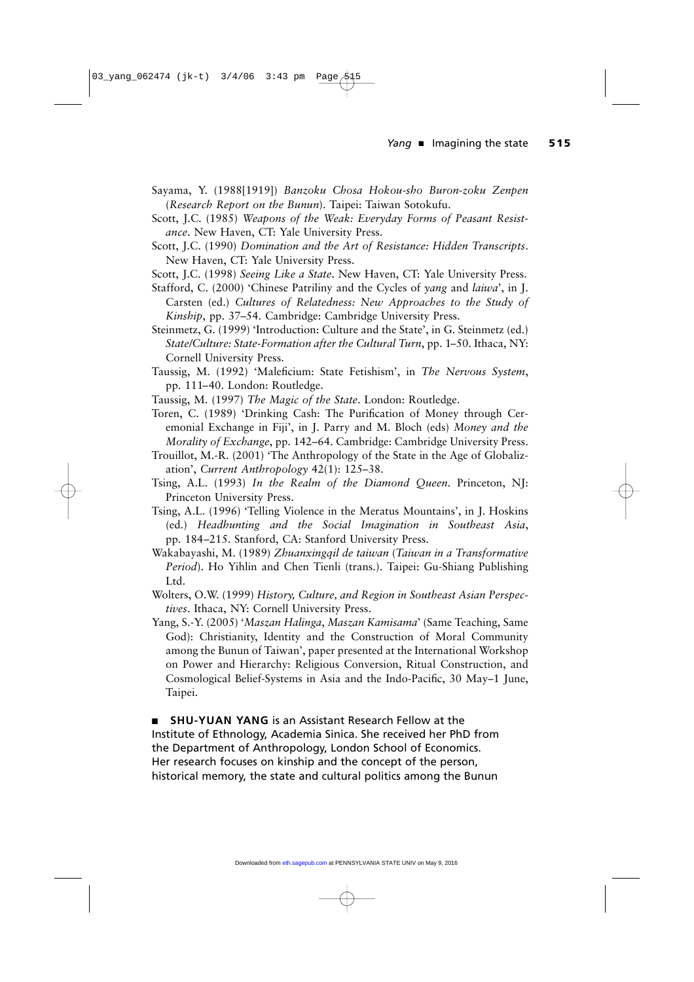- Sayama, Y. (1988[1919]) *Banzoku Chosa Hokou-sho Buron-zoku Zenpen* (*Research Report on the Bunun*). Taipei: Taiwan Sotokufu.
- Scott, J.C. (1985) *Weapons of the Weak: Everyday Forms of Peasant Resistance*. New Haven, CT: Yale University Press.
- Scott, J.C. (1990) *Domination and the Art of Resistance: Hidden Transcripts*. New Haven, CT: Yale University Press.
- Scott, J.C. (1998) *Seeing Like a State*. New Haven, CT: Yale University Press.
- Stafford, C. (2000) 'Chinese Patriliny and the Cycles of *yang* and *laiwa*', in J. Carsten (ed.) *Cultures of Relatedness: New Approaches to the Study of Kinship*, pp. 37–54. Cambridge: Cambridge University Press.
- Steinmetz, G. (1999) 'Introduction: Culture and the State', in G. Steinmetz (ed.) *State/Culture: State-Formation after the Cultural Turn*, pp. 1–50. Ithaca, NY: Cornell University Press.
- Taussig, M. (1992) 'Maleficium: State Fetishism', in *The Nervous System*, pp. 111–40. London: Routledge.
- Taussig, M. (1997) *The Magic of the State*. London: Routledge.
- Toren, C. (1989) 'Drinking Cash: The Purification of Money through Ceremonial Exchange in Fiji', in J. Parry and M. Bloch (eds) *Money and the Morality of Exchange*, pp. 142–64. Cambridge: Cambridge University Press.
- Trouillot, M.-R. (2001) 'The Anthropology of the State in the Age of Globalization', *Current Anthropology* 42(1): 125–38.
- Tsing, A.L. (1993) *In the Realm of the Diamond Queen*. Princeton, NJ: Princeton University Press.
- Tsing, A.L. (1996) 'Telling Violence in the Meratus Mountains', in J. Hoskins (ed.) *Headhunting and the Social Imagination in Southeast Asia*, pp. 184–215. Stanford, CA: Stanford University Press.
- Wakabayashi, M. (1989) *Zhuanxingqil de taiwan* (*Taiwan in a Transformative Period*). Ho Yihlin and Chen Tienli (trans.). Taipei: Gu-Shiang Publishing Ltd.
- Wolters, O.W. (1999) *History, Culture, and Region in Southeast Asian Perspectives*. Ithaca, NY: Cornell University Press.
- Yang, S.-Y. (2005) '*Maszan Halinga*, *Maszan Kamisama*' (Same Teaching, Same God): Christianity, Identity and the Construction of Moral Community among the Bunun of Taiwan', paper presented at the International Workshop on Power and Hierarchy: Religious Conversion, Ritual Construction, and Cosmological Belief-Systems in Asia and the Indo-Pacific, 30 May–1 June, Taipei.
- **SHU-YUAN YANG** is an Assistant Research Fellow at the Institute of Ethnology, Academia Sinica. She received her PhD from the Department of Anthropology, London School of Economics. Her research focuses on kinship and the concept of the person, historical memory, the state and cultural politics among the Bunun